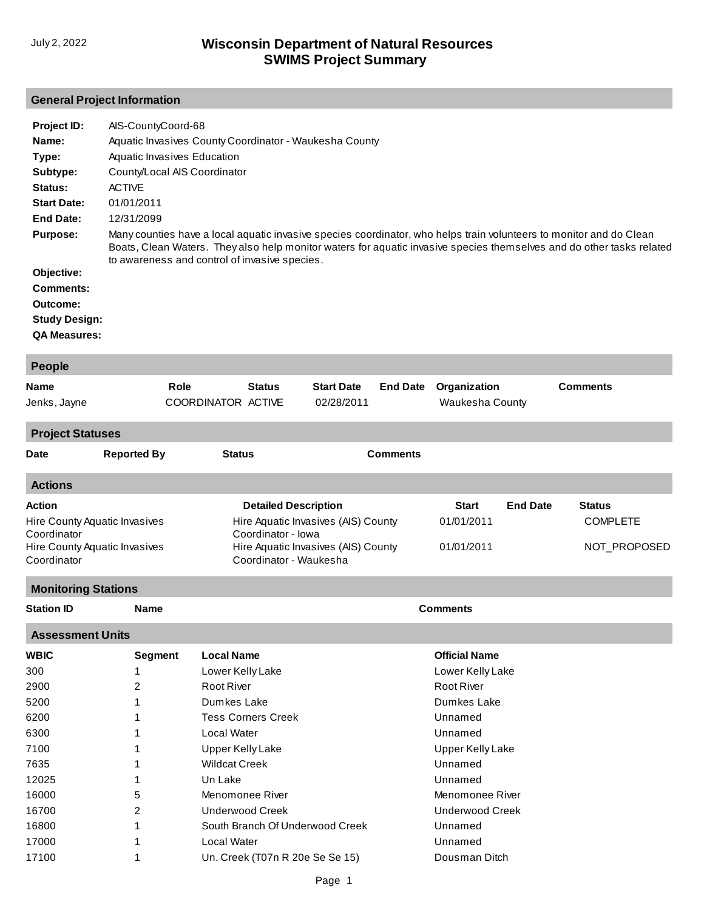# **General Project Information**

| Project ID:          | AIS-CountyCoord-68                                                                                                                                                                                                                                                                            |
|----------------------|-----------------------------------------------------------------------------------------------------------------------------------------------------------------------------------------------------------------------------------------------------------------------------------------------|
| Name:                | Aquatic Invasives County Coordinator - Waukesha County                                                                                                                                                                                                                                        |
| Type:                | Aquatic Invasives Education                                                                                                                                                                                                                                                                   |
| Subtype:             | County/Local AIS Coordinator                                                                                                                                                                                                                                                                  |
| Status:              | <b>ACTIVE</b>                                                                                                                                                                                                                                                                                 |
| <b>Start Date:</b>   | 01/01/2011                                                                                                                                                                                                                                                                                    |
| End Date:            | 12/31/2099                                                                                                                                                                                                                                                                                    |
| <b>Purpose:</b>      | Many counties have a local aguatic invasive species coordinator, who helps train volunteers to monitor and do Clean<br>Boats, Clean Waters. They also help monitor waters for aquatic invasive species themselves and do other tasks related<br>to awareness and control of invasive species. |
| Objective:           |                                                                                                                                                                                                                                                                                               |
| Comments:            |                                                                                                                                                                                                                                                                                               |
| Outcome:             |                                                                                                                                                                                                                                                                                               |
| <b>Study Design:</b> |                                                                                                                                                                                                                                                                                               |
| <b>QA Measures:</b>  |                                                                                                                                                                                                                                                                                               |

| <b>People</b>              |                               |                         |                           |                                                               |                 |                         |                 |                 |
|----------------------------|-------------------------------|-------------------------|---------------------------|---------------------------------------------------------------|-----------------|-------------------------|-----------------|-----------------|
| <b>Name</b>                |                               | Role                    | <b>Status</b>             | <b>Start Date</b>                                             | <b>End Date</b> | Organization            |                 | <b>Comments</b> |
| Jenks, Jayne               |                               | COORDINATOR ACTIVE      |                           | 02/28/2011                                                    |                 | Waukesha County         |                 |                 |
| <b>Project Statuses</b>    |                               |                         |                           |                                                               |                 |                         |                 |                 |
| Date                       | <b>Reported By</b>            | <b>Status</b>           |                           |                                                               | <b>Comments</b> |                         |                 |                 |
| <b>Actions</b>             |                               |                         |                           |                                                               |                 |                         |                 |                 |
| Action                     |                               |                         |                           | <b>Detailed Description</b>                                   |                 | <b>Start</b>            | <b>End Date</b> | <b>Status</b>   |
|                            | Hire County Aquatic Invasives |                         |                           | Hire Aquatic Invasives (AIS) County                           |                 | 01/01/2011              |                 | <b>COMPLETE</b> |
| Coordinator<br>Coordinator | Hire County Aquatic Invasives |                         | Coordinator - Iowa        | Hire Aquatic Invasives (AIS) County<br>Coordinator - Waukesha |                 | 01/01/2011              |                 | NOT_PROPOSED    |
| <b>Monitoring Stations</b> |                               |                         |                           |                                                               |                 |                         |                 |                 |
| <b>Station ID</b>          | <b>Name</b>                   |                         |                           |                                                               |                 | <b>Comments</b>         |                 |                 |
| <b>Assessment Units</b>    |                               |                         |                           |                                                               |                 |                         |                 |                 |
| <b>WBIC</b>                | <b>Segment</b>                | <b>Local Name</b>       |                           |                                                               |                 | <b>Official Name</b>    |                 |                 |
| 300                        | 1                             | Lower Kelly Lake        |                           |                                                               |                 | Lower Kelly Lake        |                 |                 |
| 2900                       | 2                             | Root River              |                           |                                                               |                 | Root River              |                 |                 |
| 5200                       | 1                             | Dumkes Lake             |                           |                                                               |                 | Dumkes Lake             |                 |                 |
| 6200                       | 1                             |                         | <b>Tess Corners Creek</b> |                                                               |                 | Unnamed                 |                 |                 |
| 6300                       | 1                             | Local Water             |                           |                                                               |                 | Unnamed                 |                 |                 |
| 7100                       | 1                             | <b>Upper Kelly Lake</b> |                           |                                                               |                 | <b>Upper Kelly Lake</b> |                 |                 |
| 7635                       | 1                             | <b>Wildcat Creek</b>    |                           |                                                               |                 | Unnamed                 |                 |                 |
| 12025                      | 1                             | Un Lake                 |                           |                                                               |                 | Unnamed                 |                 |                 |
| 16000                      | 5                             |                         | Menomonee River           |                                                               |                 | Menomonee River         |                 |                 |
| 16700                      | 2                             |                         | <b>Underwood Creek</b>    |                                                               |                 | <b>Underwood Creek</b>  |                 |                 |
| 16800                      | 1                             |                         |                           | South Branch Of Underwood Creek                               |                 | Unnamed                 |                 |                 |
| 17000                      | 1                             | <b>Local Water</b>      |                           |                                                               |                 | Unnamed                 |                 |                 |
| 17100                      | 1                             |                         |                           | Un. Creek (T07n R 20e Se Se 15)                               |                 | Dousman Ditch           |                 |                 |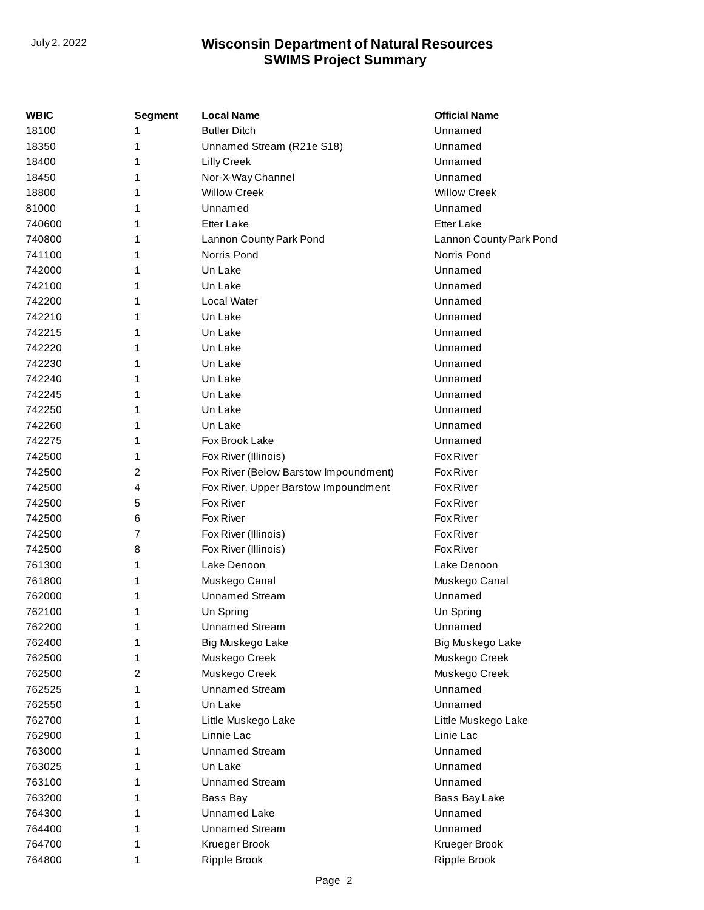| WBIC   | <b>Segment</b> | Local Name                            | <b>Official Name</b>    |
|--------|----------------|---------------------------------------|-------------------------|
| 18100  | 1              | <b>Butler Ditch</b>                   | Unnamed                 |
| 18350  | 1              | Unnamed Stream (R21e S18)             | Unnamed                 |
| 18400  | 1              | Lilly Creek                           | Unnamed                 |
| 18450  | 1              | Nor-X-Way Channel                     | Unnamed                 |
| 18800  | 1              | <b>Willow Creek</b>                   | <b>Willow Creek</b>     |
| 81000  | 1              | Unnamed                               | Unnamed                 |
| 740600 | 1              | <b>Etter Lake</b>                     | <b>Etter Lake</b>       |
| 740800 | 1              | Lannon County Park Pond               | Lannon County Park Pond |
| 741100 | 1              | Norris Pond                           | Norris Pond             |
| 742000 | 1              | Un Lake                               | Unnamed                 |
| 742100 | 1              | Un Lake                               | Unnamed                 |
| 742200 | 1              | Local Water                           | Unnamed                 |
| 742210 | 1              | Un Lake                               | Unnamed                 |
| 742215 | 1              | Un Lake                               | Unnamed                 |
| 742220 | 1              | Un Lake                               | Unnamed                 |
| 742230 | 1              | Un Lake                               | Unnamed                 |
| 742240 | 1              | Un Lake                               | Unnamed                 |
| 742245 | 1              | Un Lake                               | Unnamed                 |
| 742250 | 1              | Un Lake                               | Unnamed                 |
| 742260 | 1              | Un Lake                               | Unnamed                 |
| 742275 | 1              | Fox Brook Lake                        | Unnamed                 |
| 742500 | 1              | Fox River (Illinois)                  | Fox River               |
| 742500 | 2              | Fox River (Below Barstow Impoundment) | Fox River               |
| 742500 | 4              | Fox River, Upper Barstow Impoundment  | Fox River               |
| 742500 | 5              | Fox River                             | Fox River               |
| 742500 | 6              | Fox River                             | Fox River               |
| 742500 | 7              | Fox River (Illinois)                  | Fox River               |
| 742500 | 8              | Fox River (Illinois)                  | Fox River               |
| 761300 | 1              | Lake Denoon                           | Lake Denoon             |
| 761800 | 1              | Muskego Canal                         | Muskego Canal           |
| 762000 | 1              | <b>Unnamed Stream</b>                 | Unnamed                 |
| 762100 | 1              | Un Spring                             | Un Spring               |
| 762200 | 1              | <b>Unnamed Stream</b>                 | Unnamed                 |
| 762400 | 1              | Big Muskego Lake                      | Big Muskego Lake        |
| 762500 | 1              | Muskego Creek                         | Muskego Creek           |
| 762500 | 2              | Muskego Creek                         | Muskego Creek           |
| 762525 | 1              | <b>Unnamed Stream</b>                 | Unnamed                 |
| 762550 | 1              | Un Lake                               | Unnamed                 |
| 762700 | 1              | Little Muskego Lake                   | Little Muskego Lake     |
| 762900 | 1              | Linnie Lac                            | Linie Lac               |
| 763000 | 1              | <b>Unnamed Stream</b>                 | Unnamed                 |
| 763025 | 1              | Un Lake                               | Unnamed                 |
| 763100 | 1              | <b>Unnamed Stream</b>                 | Unnamed                 |
| 763200 | 1              | Bass Bay                              | Bass Bay Lake           |
| 764300 | 1              | Unnamed Lake                          | Unnamed                 |
| 764400 | 1              | <b>Unnamed Stream</b>                 | Unnamed                 |
| 764700 | 1              | Krueger Brook                         | Krueger Brook           |
| 764800 | 1              | <b>Ripple Brook</b>                   | Ripple Brook            |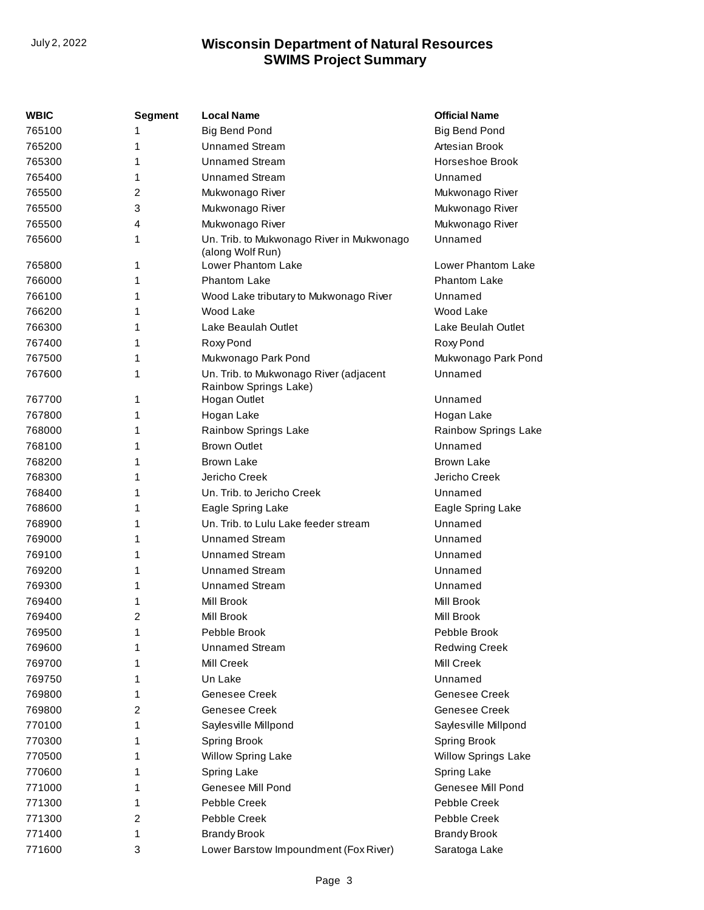| WBIC   | <b>Segment</b> | <b>Local Name</b>                                               | <b>Official Name</b>       |
|--------|----------------|-----------------------------------------------------------------|----------------------------|
| 765100 | 1              | <b>Big Bend Pond</b>                                            | Big Bend Pond              |
| 765200 | 1              | <b>Unnamed Stream</b>                                           | Artesian Brook             |
| 765300 | 1              | <b>Unnamed Stream</b>                                           | Horseshoe Brook            |
| 765400 | 1              | <b>Unnamed Stream</b>                                           | Unnamed                    |
| 765500 | 2              | Mukwonago River                                                 | Mukwonago River            |
| 765500 | 3              | Mukwonago River                                                 | Mukwonago River            |
| 765500 | 4              | Mukwonago River                                                 | Mukwonago River            |
| 765600 | 1              | Un. Trib. to Mukwonago River in Mukwonago<br>(along Wolf Run)   | Unnamed                    |
| 765800 | 1              | Lower Phantom Lake                                              | Lower Phantom Lake         |
| 766000 | 1              | Phantom Lake                                                    | <b>Phantom Lake</b>        |
| 766100 | 1              | Wood Lake tributary to Mukwonago River                          | Unnamed                    |
| 766200 | 1              | Wood Lake                                                       | Wood Lake                  |
| 766300 | 1              | Lake Beaulah Outlet                                             | Lake Beulah Outlet         |
| 767400 | 1              | Roxy Pond                                                       | Roxy Pond                  |
| 767500 | 1              | Mukwonago Park Pond                                             | Mukwonago Park Pond        |
| 767600 | 1              | Un. Trib. to Mukwonago River (adjacent<br>Rainbow Springs Lake) | Unnamed                    |
| 767700 | 1              | Hogan Outlet                                                    | Unnamed                    |
| 767800 | 1              | Hogan Lake                                                      | Hogan Lake                 |
| 768000 | 1              | Rainbow Springs Lake                                            | Rainbow Springs Lake       |
| 768100 | 1              | <b>Brown Outlet</b>                                             | Unnamed                    |
| 768200 | 1              | Brown Lake                                                      | Brown Lake                 |
| 768300 | 1              | Jericho Creek                                                   | Jericho Creek              |
| 768400 | 1              | Un. Trib. to Jericho Creek                                      | Unnamed                    |
| 768600 | 1              | Eagle Spring Lake                                               | Eagle Spring Lake          |
| 768900 | 1              | Un. Trib. to Lulu Lake feeder stream                            | Unnamed                    |
| 769000 | 1              | <b>Unnamed Stream</b>                                           | Unnamed                    |
| 769100 | 1              | <b>Unnamed Stream</b>                                           | Unnamed                    |
| 769200 | 1              | <b>Unnamed Stream</b>                                           | Unnamed                    |
| 769300 | 1              | <b>Unnamed Stream</b>                                           | Unnamed                    |
| 769400 | 1              | Mill Brook                                                      | <b>Mill Brook</b>          |
| 769400 | $\overline{2}$ | Mill Brook                                                      | Mill Brook                 |
| 769500 | 1              | Pebble Brook                                                    | Pebble Brook               |
| 769600 | 1              | <b>Unnamed Stream</b>                                           | <b>Redwing Creek</b>       |
| 769700 | 1              | Mill Creek                                                      | Mill Creek                 |
| 769750 | 1              | Un Lake                                                         | Unnamed                    |
| 769800 | 1              | Genesee Creek                                                   | Genesee Creek              |
| 769800 | 2              | Genesee Creek                                                   | Genesee Creek              |
| 770100 | 1              | Sayles ville Millpond                                           | Saylesville Millpond       |
| 770300 | 1              | <b>Spring Brook</b>                                             | <b>Spring Brook</b>        |
| 770500 | 1              | Willow Spring Lake                                              | <b>Willow Springs Lake</b> |
| 770600 | 1              | Spring Lake                                                     | Spring Lake                |
| 771000 | 1              | Genesee Mill Pond                                               | Genesee Mill Pond          |
| 771300 | 1              | Pebble Creek                                                    | Pebble Creek               |
| 771300 | 2              | Pebble Creek                                                    | Pebble Creek               |
| 771400 | 1              | <b>Brandy Brook</b>                                             | <b>Brandy Brook</b>        |
| 771600 | 3              | Lower Barstow Impoundment (Fox River)                           | Saratoga Lake              |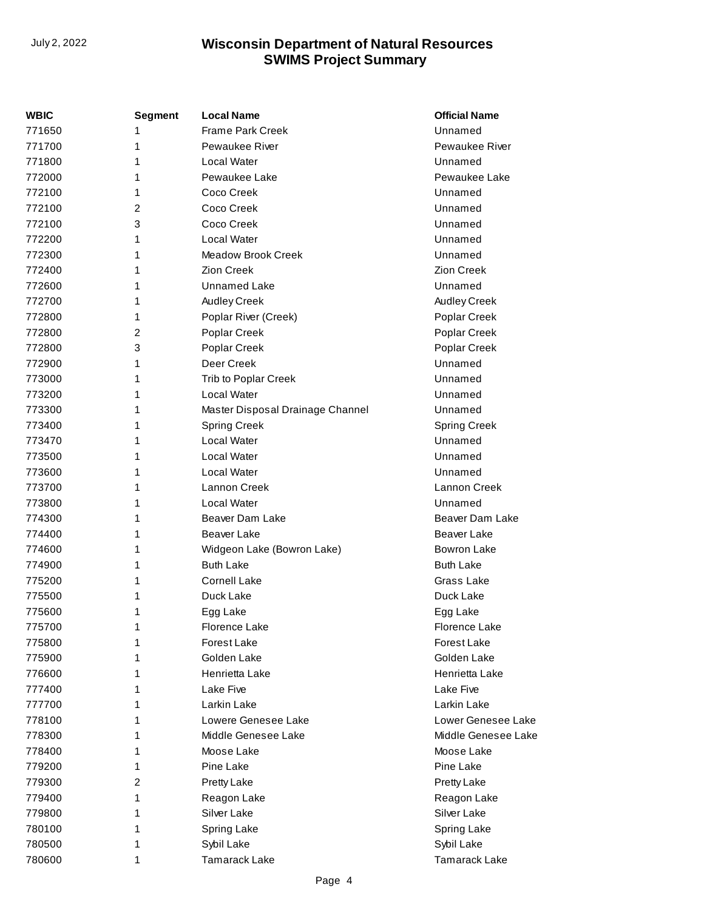| <b>WBIC</b> | <b>Segment</b> | <b>Local Name</b>                | <b>Official Name</b> |
|-------------|----------------|----------------------------------|----------------------|
| 771650      | 1              | <b>Frame Park Creek</b>          | Unnamed              |
| 771700      | 1              | Pewaukee River                   | Pewaukee River       |
| 771800      | 1              | Local Water                      | Unnamed              |
| 772000      | 1              | Pewaukee Lake                    | Pewaukee Lake        |
| 772100      | 1              | Coco Creek                       | Unnamed              |
| 772100      | $\overline{2}$ | Coco Creek                       | Unnamed              |
| 772100      | 3              | Coco Creek                       | Unnamed              |
| 772200      | 1              | Local Water                      | Unnamed              |
| 772300      | 1              | Meadow Brook Creek               | Unnamed              |
| 772400      | 1              | <b>Zion Creek</b>                | Zion Creek           |
| 772600      | 1              | Unnamed Lake                     | Unnamed              |
| 772700      | 1              | Audley Creek                     | Audley Creek         |
| 772800      | 1              | Poplar River (Creek)             | Poplar Creek         |
| 772800      | $\overline{2}$ | Poplar Creek                     | Poplar Creek         |
| 772800      | 3              | Poplar Creek                     | Poplar Creek         |
| 772900      | 1              | Deer Creek                       | Unnamed              |
| 773000      | 1              | Trib to Poplar Creek             | Unnamed              |
| 773200      | 1              | Local Water                      | Unnamed              |
| 773300      | 1              | Master Disposal Drainage Channel | Unnamed              |
| 773400      | 1              | <b>Spring Creek</b>              | <b>Spring Creek</b>  |
| 773470      | 1              | Local Water                      | Unnamed              |
| 773500      | 1              | Local Water                      | Unnamed              |
| 773600      | 1              | Local Water                      | Unnamed              |
| 773700      | 1              | Lannon Creek                     | Lannon Creek         |
| 773800      | 1              | Local Water                      | Unnamed              |
| 774300      | 1              | Beaver Dam Lake                  | Beaver Dam Lake      |
| 774400      | 1              | Beaver Lake                      | Beaver Lake          |
| 774600      | 1              | Widgeon Lake (Bowron Lake)       | <b>Bowron Lake</b>   |
| 774900      | 1              | <b>Buth Lake</b>                 | <b>Buth Lake</b>     |
| 775200      | 1              | <b>Cornell Lake</b>              | Grass Lake           |
| 775500      | 1              | Duck Lake                        | Duck Lake            |
| 775600      | 1              | Egg Lake                         | Egg Lake             |
| 775700      | 1              | Florence Lake                    | Florence Lake        |
| 775800      | 1              | Forest Lake                      | Forest Lake          |
| 775900      | 1              | Golden Lake                      | Golden Lake          |
| 776600      | 1              | Henrietta Lake                   | Henrietta Lake       |
| 777400      | 1              | Lake Five                        | Lake Five            |
| 777700      | 1              | Larkin Lake                      | Larkin Lake          |
| 778100      | 1              | Lowere Genesee Lake              | Lower Genesee Lake   |
| 778300      | 1              | Middle Genesee Lake              | Middle Genesee Lake  |
| 778400      | 1              | Moose Lake                       | Moose Lake           |
| 779200      | 1              | Pine Lake                        | Pine Lake            |
| 779300      | 2              | Pretty Lake                      | Pretty Lake          |
| 779400      | 1              | Reagon Lake                      | Reagon Lake          |
| 779800      | 1              | Silver Lake                      | Silver Lake          |
| 780100      | 1              | Spring Lake                      | Spring Lake          |
| 780500      | 1              | Sybil Lake                       | Sybil Lake           |
| 780600      | 1              | <b>Tamarack Lake</b>             | <b>Tamarack Lake</b> |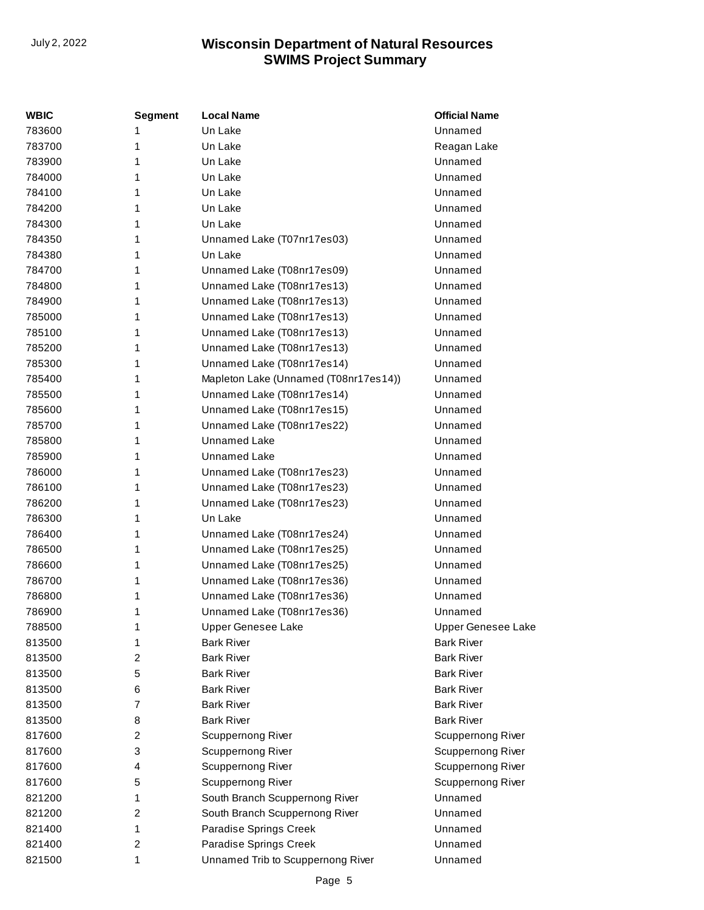| <b>WBIC</b> | <b>Segment</b> | <b>Local Name</b>                     | <b>Official Name</b>      |
|-------------|----------------|---------------------------------------|---------------------------|
| 783600      | 1              | Un Lake                               | Unnamed                   |
| 783700      | 1              | Un Lake                               | Reagan Lake               |
| 783900      | 1              | Un Lake                               | Unnamed                   |
| 784000      | 1              | Un Lake                               | Unnamed                   |
| 784100      | 1              | Un Lake                               | Unnamed                   |
| 784200      | 1              | Un Lake                               | Unnamed                   |
| 784300      | 1              | Un Lake                               | Unnamed                   |
| 784350      | 1              | Unnamed Lake (T07nr17es03)            | Unnamed                   |
| 784380      | 1              | Un Lake                               | Unnamed                   |
| 784700      | 1              | Unnamed Lake (T08nr17es09)            | Unnamed                   |
| 784800      | 1              | Unnamed Lake (T08nr17es13)            | Unnamed                   |
| 784900      | 1              | Unnamed Lake (T08nr17es13)            | Unnamed                   |
| 785000      | 1              | Unnamed Lake (T08nr17es13)            | Unnamed                   |
| 785100      | 1              | Unnamed Lake (T08nr17es13)            | Unnamed                   |
| 785200      | 1              | Unnamed Lake (T08nr17es13)            | Unnamed                   |
| 785300      | 1              | Unnamed Lake (T08nr17es14)            | Unnamed                   |
| 785400      | 1              | Mapleton Lake (Unnamed (T08nr17es14)) | Unnamed                   |
| 785500      | 1              | Unnamed Lake (T08nr17es14)            | Unnamed                   |
| 785600      | 1              | Unnamed Lake (T08nr17es15)            | Unnamed                   |
| 785700      | 1              | Unnamed Lake (T08nr17es22)            | Unnamed                   |
| 785800      | 1              | <b>Unnamed Lake</b>                   | Unnamed                   |
| 785900      | 1              | Unnamed Lake                          | Unnamed                   |
| 786000      | 1              | Unnamed Lake (T08nr17es23)            | Unnamed                   |
| 786100      | 1              | Unnamed Lake (T08nr17es23)            | Unnamed                   |
| 786200      | 1              | Unnamed Lake (T08nr17es23)            | Unnamed                   |
| 786300      | 1              | Un Lake                               | Unnamed                   |
| 786400      | 1              | Unnamed Lake (T08nr17es24)            | Unnamed                   |
| 786500      | 1              | Unnamed Lake (T08nr17es25)            | Unnamed                   |
| 786600      | 1              | Unnamed Lake (T08nr17es25)            | Unnamed                   |
| 786700      | 1              | Unnamed Lake (T08nr17es36)            | Unnamed                   |
| 786800      | 1              | Unnamed Lake (T08nr17es36)            | Unnamed                   |
| 786900      | 1              | Unnamed Lake (T08nr17es36)            | Unnamed                   |
| 788500      | 1              | <b>Upper Genesee Lake</b>             | <b>Upper Genesee Lake</b> |
| 813500      | 1              | <b>Bark River</b>                     | <b>Bark River</b>         |
| 813500      | 2              | <b>Bark River</b>                     | <b>Bark River</b>         |
| 813500      | 5              | <b>Bark River</b>                     | <b>Bark River</b>         |
| 813500      | 6              | <b>Bark River</b>                     | <b>Bark River</b>         |
| 813500      | 7              | <b>Bark River</b>                     | <b>Bark River</b>         |
| 813500      | 8              | <b>Bark River</b>                     | <b>Bark River</b>         |
| 817600      | 2              | <b>Scuppernong River</b>              | Scuppernong River         |
| 817600      | 3              | <b>Scuppernong River</b>              | <b>Scuppernong River</b>  |
| 817600      | 4              | Scuppernong River                     | Scuppernong River         |
| 817600      | 5              | Scuppernong River                     | <b>Scuppernong River</b>  |
| 821200      | 1              | South Branch Scuppernong River        | Unnamed                   |
| 821200      | 2              | South Branch Scuppernong River        | Unnamed                   |
| 821400      | 1              | Paradise Springs Creek                | Unnamed                   |
| 821400      | 2              | Paradise Springs Creek                | Unnamed                   |
| 821500      | 1              | Unnamed Trib to Scuppernong River     | Unnamed                   |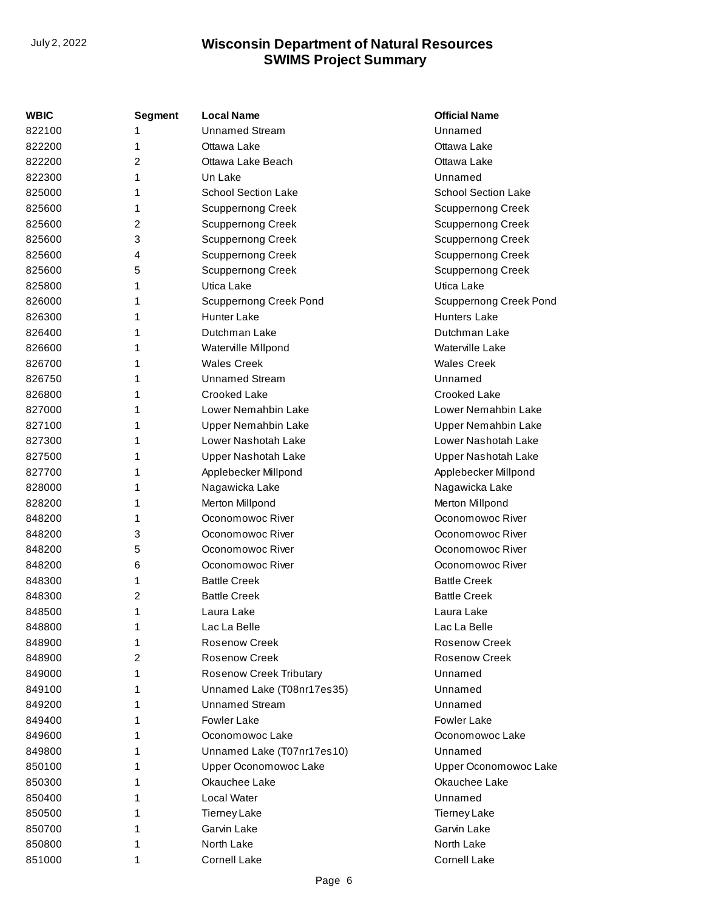| WBIC   | <b>Segment</b> | <b>Local Name</b>              | <b>Official Name</b>       |
|--------|----------------|--------------------------------|----------------------------|
| 822100 | 1              | <b>Unnamed Stream</b>          | Unnamed                    |
| 822200 | 1              | Ottawa Lake                    | Ottawa Lake                |
| 822200 | 2              | Ottawa Lake Beach              | Ottawa Lake                |
| 822300 | 1              | Un Lake                        | Unnamed                    |
| 825000 | 1              | <b>School Section Lake</b>     | <b>School Section Lake</b> |
| 825600 | 1              | <b>Scuppernong Creek</b>       | <b>Scuppernong Creek</b>   |
| 825600 | 2              | <b>Scuppernong Creek</b>       | <b>Scuppernong Creek</b>   |
| 825600 | 3              | <b>Scuppernong Creek</b>       | <b>Scuppernong Creek</b>   |
| 825600 | 4              | <b>Scuppernong Creek</b>       | <b>Scuppernong Creek</b>   |
| 825600 | 5              | <b>Scuppernong Creek</b>       | <b>Scuppernong Creek</b>   |
| 825800 | 1              | Utica Lake                     | Utica Lake                 |
| 826000 | 1              | <b>Scuppernong Creek Pond</b>  | Scuppernong Creek Pond     |
| 826300 | 1              | <b>Hunter Lake</b>             | <b>Hunters Lake</b>        |
| 826400 | 1              | Dutchman Lake                  | Dutchman Lake              |
| 826600 | 1              | Waterville Millpond            | Waterville Lake            |
| 826700 | 1              | <b>Wales Creek</b>             | <b>Wales Creek</b>         |
| 826750 | 1              | <b>Unnamed Stream</b>          | Unnamed                    |
| 826800 | 1              | Crooked Lake                   | <b>Crooked Lake</b>        |
| 827000 | 1              | Lower Nemahbin Lake            | Lower Nemahbin Lake        |
| 827100 | 1              | Upper Nemahbin Lake            | <b>Upper Nemahbin Lake</b> |
| 827300 | 1              | Lower Nashotah Lake            | Lower Nashotah Lake        |
| 827500 | 1              | Upper Nashotah Lake            | Upper Nashotah Lake        |
| 827700 | 1              | Applebecker Millpond           | Applebecker Millpond       |
| 828000 | 1              | Nagawicka Lake                 | Nagawicka Lake             |
| 828200 | 1              | Merton Millpond                | Merton Millpond            |
| 848200 | 1              | Oconomowoc River               | Oconomowoc River           |
| 848200 | 3              | Oconomowoc River               | Oconomowoc River           |
| 848200 | 5              | Oconomowoc River               | Oconomowoc River           |
| 848200 | 6              | Oconomowoc River               | Oconomowoc River           |
| 848300 | 1              | <b>Battle Creek</b>            | <b>Battle Creek</b>        |
| 848300 | 2              | <b>Battle Creek</b>            | <b>Battle Creek</b>        |
| 848500 | 1              | Laura Lake                     | Laura Lake                 |
| 848800 | 1              | Lac La Belle                   | Lac La Belle               |
| 848900 | 1              | Rosenow Creek                  | <b>Rosenow Creek</b>       |
| 848900 | 2              | <b>Rosenow Creek</b>           | Rosenow Creek              |
| 849000 | 1              | <b>Rosenow Creek Tributary</b> | Unnamed                    |
| 849100 | 1              | Unnamed Lake (T08nr17es35)     | Unnamed                    |
| 849200 | 1              | <b>Unnamed Stream</b>          | Unnamed                    |
| 849400 | 1              | <b>Fowler Lake</b>             | <b>Fowler Lake</b>         |
| 849600 | 1              | Oconomowoc Lake                | Oconomowoc Lake            |
| 849800 | 1              | Unnamed Lake (T07nr17es10)     | Unnamed                    |
| 850100 | 1              | Upper Oconomowoc Lake          | Upper Oconomowoc Lake      |
| 850300 | 1              | Okauchee Lake                  | Okauchee Lake              |
| 850400 |                | Local Water                    | Unnamed                    |
| 850500 | 1              | <b>Tierney Lake</b>            | <b>Tierney Lake</b>        |
| 850700 | 1              | Garvin Lake                    | Garvin Lake                |
| 850800 | 1              | North Lake                     | North Lake                 |
| 851000 | 1              | <b>Cornell Lake</b>            | Cornell Lake               |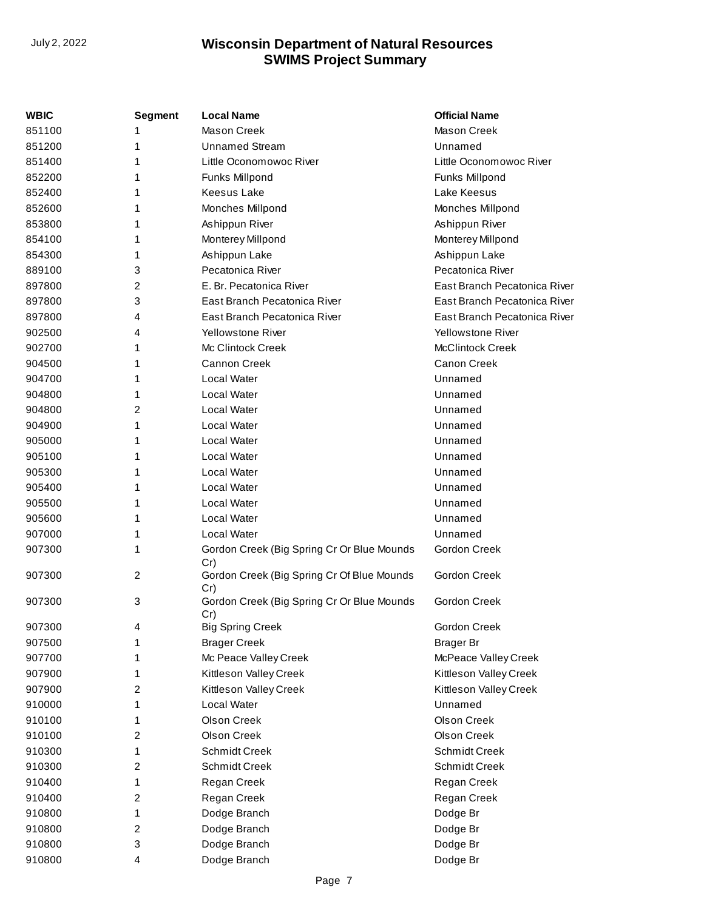| <b>WBIC</b> | <b>Segment</b>          | <b>Local Name</b>                                 | <b>Official Name</b>         |
|-------------|-------------------------|---------------------------------------------------|------------------------------|
| 851100      |                         | <b>Mason Creek</b>                                | <b>Mason Creek</b>           |
| 851200      | 1                       | <b>Unnamed Stream</b>                             | Unnamed                      |
| 851400      | 1                       | Little Oconomowoc River                           | Little Oconomowoc River      |
| 852200      | 1                       | Funks Millpond                                    | Funks Millpond               |
| 852400      | 1                       | <b>Keesus Lake</b>                                | Lake Keesus                  |
| 852600      | 1                       | Monches Millpond                                  | Monches Millpond             |
| 853800      | 1                       | Ashippun River                                    | Ashippun River               |
| 854100      | 1                       | Monterey Millpond                                 | Monterey Millpond            |
| 854300      | 1                       | Ashippun Lake                                     | Ashippun Lake                |
| 889100      | 3                       | Pecatonica River                                  | Pecatonica River             |
| 897800      | 2                       | E. Br. Pecatonica River                           | East Branch Pecatonica River |
| 897800      | 3                       | East Branch Pecatonica River                      | East Branch Pecatonica River |
| 897800      | 4                       | East Branch Pecatonica River                      | East Branch Pecatonica River |
| 902500      | 4                       | <b>Yellowstone River</b>                          | <b>Yellowstone River</b>     |
| 902700      | 1                       | Mc Clintock Creek                                 | <b>McClintock Creek</b>      |
| 904500      | 1                       | <b>Cannon Creek</b>                               | Canon Creek                  |
| 904700      | 1                       | Local Water                                       | Unnamed                      |
| 904800      | 1                       | Local Water                                       | Unnamed                      |
| 904800      | 2                       | Local Water                                       | Unnamed                      |
| 904900      | 1                       | Local Water                                       | Unnamed                      |
| 905000      | 1                       | Local Water                                       | Unnamed                      |
| 905100      | 1                       | Local Water                                       | Unnamed                      |
| 905300      |                         | Local Water                                       | Unnamed                      |
| 905400      | 1                       | Local Water                                       | Unnamed                      |
| 905500      | 1                       | Local Water                                       | Unnamed                      |
| 905600      | 1                       | Local Water                                       | Unnamed                      |
| 907000      | 1                       | Local Water                                       | Unnamed                      |
| 907300      | 1                       | Gordon Creek (Big Spring Cr Or Blue Mounds<br>Cr) | Gordon Creek                 |
| 907300      | $\overline{\mathbf{c}}$ | Gordon Creek (Big Spring Cr Of Blue Mounds<br>Cr) | Gordon Creek                 |
| 907300      | 3                       | Gordon Creek (Big Spring Cr Or Blue Mounds<br>Cr) | <b>Gordon Creek</b>          |
| 907300      | 4                       | <b>Big Spring Creek</b>                           | <b>Gordon Creek</b>          |
| 907500      |                         | <b>Brager Creek</b>                               | <b>Brager Br</b>             |
| 907700      |                         | Mc Peace Valley Creek                             | McPeace Valley Creek         |
| 907900      | 1                       | Kittleson Valley Creek                            | Kittleson Valley Creek       |
| 907900      | 2                       | Kittleson Valley Creek                            | Kittleson Valley Creek       |
| 910000      | 1                       | Local Water                                       | Unnamed                      |
| 910100      | 1                       | Olson Creek                                       | <b>Olson Creek</b>           |
| 910100      | 2                       | <b>Olson Creek</b>                                | <b>Olson Creek</b>           |
| 910300      | 1                       | <b>Schmidt Creek</b>                              | <b>Schmidt Creek</b>         |
| 910300      | 2                       | <b>Schmidt Creek</b>                              | <b>Schmidt Creek</b>         |
| 910400      | 1                       | Regan Creek                                       | Regan Creek                  |
| 910400      | 2                       | Regan Creek                                       | Regan Creek                  |
| 910800      | 1                       | Dodge Branch                                      | Dodge Br                     |
| 910800      | 2                       | Dodge Branch                                      | Dodge Br                     |
| 910800      | 3                       | Dodge Branch                                      | Dodge Br                     |
| 910800      | 4                       | Dodge Branch                                      | Dodge Br                     |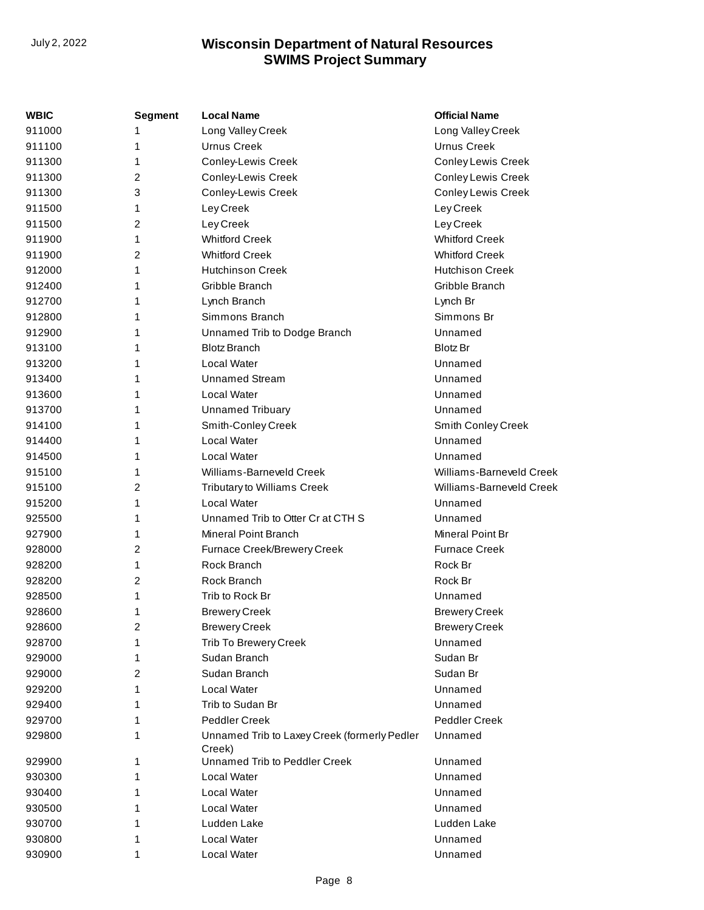| WBIC   | Segment | <b>Local Name</b>                                      | <b>Official Name</b>      |
|--------|---------|--------------------------------------------------------|---------------------------|
| 911000 | 1       | Long Valley Creek                                      | Long Valley Creek         |
| 911100 | 1       | <b>Urnus Creek</b>                                     | Urnus Creek               |
| 911300 | 1       | <b>Conley-Lewis Creek</b>                              | Conley Lewis Creek        |
| 911300 | 2       | <b>Conley-Lewis Creek</b>                              | <b>Conley Lewis Creek</b> |
| 911300 | 3       | <b>Conley-Lewis Creek</b>                              | <b>Conley Lewis Creek</b> |
| 911500 | 1       | Ley Creek                                              | Ley Creek                 |
| 911500 | 2       | Ley Creek                                              | Ley Creek                 |
| 911900 | 1       | <b>Whitford Creek</b>                                  | <b>Whitford Creek</b>     |
| 911900 | 2       | <b>Whitford Creek</b>                                  | <b>Whitford Creek</b>     |
| 912000 | 1       | <b>Hutchinson Creek</b>                                | <b>Hutchison Creek</b>    |
| 912400 | 1       | Gribble Branch                                         | Gribble Branch            |
| 912700 | 1       | Lynch Branch                                           | Lynch Br                  |
| 912800 | 1       | Simmons Branch                                         | Simmons Br                |
| 912900 | 1       | Unnamed Trib to Dodge Branch                           | Unnamed                   |
| 913100 | 1       | <b>Blotz Branch</b>                                    | <b>Blotz Br</b>           |
| 913200 | 1       | Local Water                                            | Unnamed                   |
| 913400 | 1       | <b>Unnamed Stream</b>                                  | Unnamed                   |
| 913600 | 1       | Local Water                                            | Unnamed                   |
| 913700 | 1       | <b>Unnamed Tribuary</b>                                | Unnamed                   |
| 914100 | 1       | Smith-Conley Creek                                     | Smith Conley Creek        |
| 914400 | 1       | Local Water                                            | Unnamed                   |
| 914500 | 1       | <b>Local Water</b>                                     | Unnamed                   |
| 915100 | 1       | Williams-Barneveld Creek                               | Williams-Barneveld Creek  |
| 915100 | 2       | Tributary to Williams Creek                            | Williams-Barneveld Creek  |
| 915200 | 1       | <b>Local Water</b>                                     | Unnamed                   |
| 925500 | 1       | Unnamed Trib to Otter Cr at CTH S                      | Unnamed                   |
| 927900 | 1       | Mineral Point Branch                                   | Mineral Point Br          |
| 928000 | 2       | Furnace Creek/Brewery Creek                            | <b>Furnace Creek</b>      |
| 928200 | 1       | Rock Branch                                            | Rock Br                   |
| 928200 | 2       | Rock Branch                                            | Rock Br                   |
| 928500 | 1       | Trib to Rock Br                                        | Unnamed                   |
| 928600 | 1       | <b>Brewery Creek</b>                                   | <b>Brewery Creek</b>      |
| 928600 | 2       | <b>Brewery Creek</b>                                   | <b>Brewery Creek</b>      |
| 928700 | 1       | Trib To Brewery Creek                                  | Unnamed                   |
| 929000 | 1       | Sudan Branch                                           | Sudan Br                  |
| 929000 | 2       | Sudan Branch                                           | Sudan Br                  |
| 929200 | 1       | Local Water                                            | Unnamed                   |
| 929400 | 1       | Trib to Sudan Br                                       | Unnamed                   |
| 929700 | 1       | Peddler Creek                                          | Peddler Creek             |
| 929800 | 1       | Unnamed Trib to Laxey Creek (formerly Pedler<br>Creek) | Unnamed                   |
| 929900 | 1       | Unnamed Trib to Peddler Creek                          | Unnamed                   |
| 930300 | 1       | Local Water                                            | Unnamed                   |
| 930400 | 1       | Local Water                                            | Unnamed                   |
| 930500 | 1       | Local Water                                            | Unnamed                   |
| 930700 | 1       | Ludden Lake                                            | Ludden Lake               |
| 930800 | 1       | Local Water                                            | Unnamed                   |
| 930900 | 1       | Local Water                                            | Unnamed                   |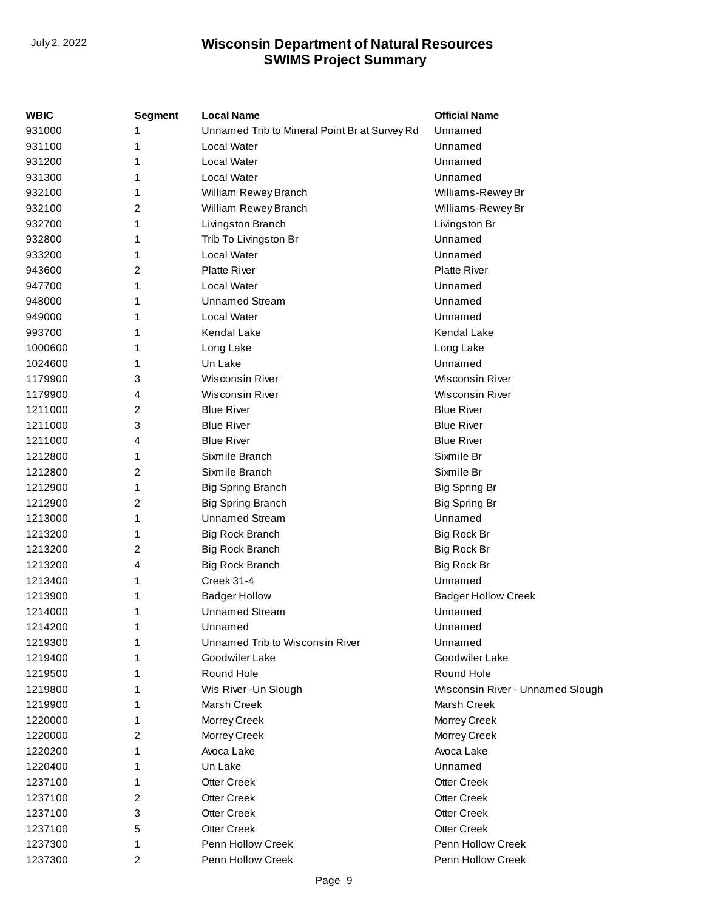| <b>WBIC</b> | Segment | <b>Local Name</b>                             | <b>Official Name</b>             |
|-------------|---------|-----------------------------------------------|----------------------------------|
| 931000      | 1       | Unnamed Trib to Mineral Point Br at Survey Rd | Unnamed                          |
| 931100      | 1       | Local Water                                   | Unnamed                          |
| 931200      | 1       | Local Water                                   | Unnamed                          |
| 931300      | 1       | Local Water                                   | Unnamed                          |
| 932100      | 1       | William Rewey Branch                          | Williams-Rewey Br                |
| 932100      | 2       | William Rewey Branch                          | Williams-Rewey Br                |
| 932700      | 1       | Livingston Branch                             | Livingston Br                    |
| 932800      | 1       | Trib To Livingston Br                         | Unnamed                          |
| 933200      | 1       | Local Water                                   | Unnamed                          |
| 943600      | 2       | <b>Platte River</b>                           | <b>Platte River</b>              |
| 947700      | 1       | Local Water                                   | Unnamed                          |
| 948000      | 1       | <b>Unnamed Stream</b>                         | Unnamed                          |
| 949000      | 1       | Local Water                                   | Unnamed                          |
| 993700      | 1       | <b>Kendal Lake</b>                            | Kendal Lake                      |
| 1000600     | 1       | Long Lake                                     | Long Lake                        |
| 1024600     | 1       | Un Lake                                       | Unnamed                          |
| 1179900     | 3       | <b>Wisconsin River</b>                        | <b>Wisconsin River</b>           |
| 1179900     | 4       | <b>Wisconsin River</b>                        | <b>Wisconsin River</b>           |
| 1211000     | 2       | <b>Blue River</b>                             | <b>Blue River</b>                |
| 1211000     | 3       | <b>Blue River</b>                             | <b>Blue River</b>                |
| 1211000     | 4       | <b>Blue River</b>                             | <b>Blue River</b>                |
| 1212800     | 1       | Sixmile Branch                                | Sixmile Br                       |
| 1212800     | 2       | Sixmile Branch                                | Sixmile Br                       |
| 1212900     | 1       | <b>Big Spring Branch</b>                      | Big Spring Br                    |
| 1212900     | 2       | <b>Big Spring Branch</b>                      | <b>Big Spring Br</b>             |
| 1213000     | 1       | Unnamed Stream                                | Unnamed                          |
| 1213200     | 1       | Big Rock Branch                               | Big Rock Br                      |
| 1213200     | 2       | <b>Big Rock Branch</b>                        | Big Rock Br                      |
| 1213200     | 4       | <b>Big Rock Branch</b>                        | Big Rock Br                      |
| 1213400     | 1       | Creek 31-4                                    | Unnamed                          |
| 1213900     | 1       | <b>Badger Hollow</b>                          | <b>Badger Hollow Creek</b>       |
| 1214000     | 1       | <b>Unnamed Stream</b>                         | Unnamed                          |
| 1214200     | 1       | Unnamed                                       | Unnamed                          |
| 1219300     | 1       | Unnamed Trib to Wisconsin River               | Unnamed                          |
| 1219400     | 1       | Goodwiler Lake                                | Goodwiler Lake                   |
| 1219500     | 1       | Round Hole                                    | Round Hole                       |
| 1219800     | 1       | Wis River - Un Slough                         | Wisconsin River - Unnamed Slough |
| 1219900     | 1       | Marsh Creek                                   | Marsh Creek                      |
| 1220000     | 1       | Morrey Creek                                  | Morrey Creek                     |
| 1220000     | 2       | Morrey Creek                                  | Morrey Creek                     |
| 1220200     | 1       | Avoca Lake                                    | Avoca Lake                       |
| 1220400     | 1       | Un Lake                                       | Unnamed                          |
| 1237100     | 1       | <b>Otter Creek</b>                            | <b>Otter Creek</b>               |
| 1237100     | 2       | <b>Otter Creek</b>                            | <b>Otter Creek</b>               |
| 1237100     | 3       | <b>Otter Creek</b>                            | <b>Otter Creek</b>               |
| 1237100     | 5       | <b>Otter Creek</b>                            | <b>Otter Creek</b>               |
| 1237300     | 1       | Penn Hollow Creek                             | Penn Hollow Creek                |
| 1237300     | 2       | Penn Hollow Creek                             | Penn Hollow Creek                |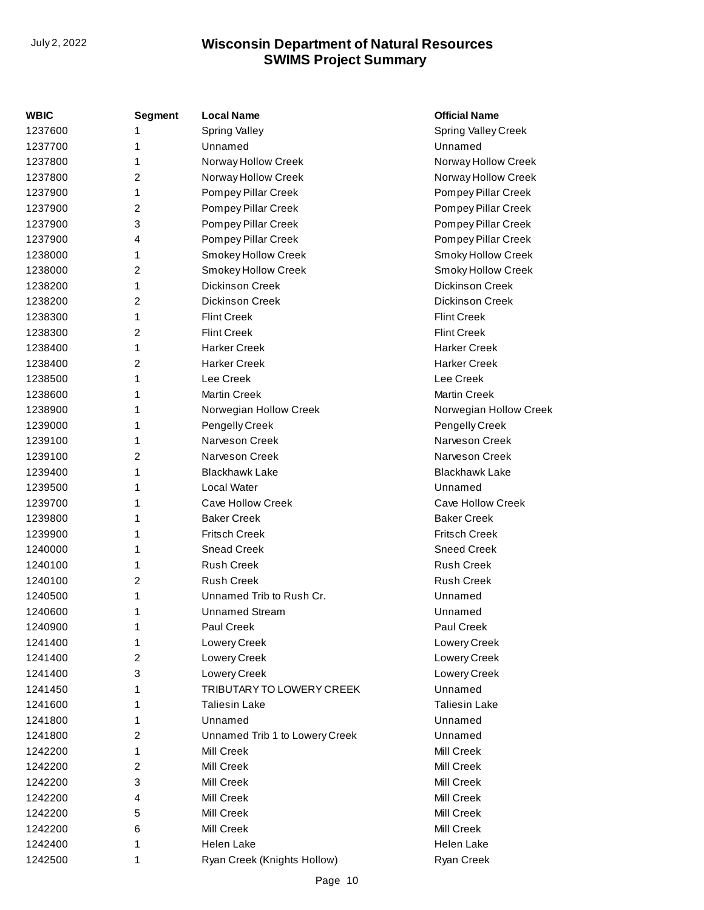| WBIC    | <b>Segment</b> | <b>Local Name</b>              | <b>Official Name</b>   |
|---------|----------------|--------------------------------|------------------------|
| 1237600 | 1              | <b>Spring Valley</b>           | Spring Valley Creek    |
| 1237700 | 1              | Unnamed                        | Unnamed                |
| 1237800 | 1              | Norway Hollow Creek            | Norway Hollow Creek    |
| 1237800 | 2              | Norway Hollow Creek            | Norway Hollow Creek    |
| 1237900 | 1              | Pompey Pillar Creek            | Pompey Pillar Creek    |
| 1237900 | 2              | Pompey Pillar Creek            | Pompey Pillar Creek    |
| 1237900 | 3              | Pompey Pillar Creek            | Pompey Pillar Creek    |
| 1237900 | 4              | Pompey Pillar Creek            | Pompey Pillar Creek    |
| 1238000 | 1              | Smokey Hollow Creek            | Smoky Hollow Creek     |
| 1238000 | 2              | Smokey Hollow Creek            | Smoky Hollow Creek     |
| 1238200 | 1              | <b>Dickinson Creek</b>         | <b>Dickinson Creek</b> |
| 1238200 | 2              | <b>Dickinson Creek</b>         | <b>Dickinson Creek</b> |
| 1238300 | 1              | <b>Flint Creek</b>             | <b>Flint Creek</b>     |
| 1238300 | 2              | <b>Flint Creek</b>             | <b>Flint Creek</b>     |
| 1238400 | 1              | <b>Harker Creek</b>            | <b>Harker Creek</b>    |
| 1238400 | 2              | <b>Harker Creek</b>            | <b>Harker Creek</b>    |
| 1238500 | 1              | Lee Creek                      | Lee Creek              |
| 1238600 | 1              | <b>Martin Creek</b>            | <b>Martin Creek</b>    |
| 1238900 | 1              | Norwegian Hollow Creek         | Norwegian Hollow Creek |
| 1239000 | 1              | Pengelly Creek                 | Pengelly Creek         |
| 1239100 | 1              | Narveson Creek                 | Narveson Creek         |
| 1239100 | 2              | Narveson Creek                 | Narveson Creek         |
| 1239400 | 1              | <b>Blackhawk Lake</b>          | <b>Blackhawk Lake</b>  |
| 1239500 | 1              | <b>Local Water</b>             | Unnamed                |
| 1239700 | 1              | Cave Hollow Creek              | Cave Hollow Creek      |
| 1239800 | 1              | <b>Baker Creek</b>             | <b>Baker Creek</b>     |
| 1239900 | 1              | <b>Fritsch Creek</b>           | <b>Fritsch Creek</b>   |
| 1240000 | 1              | <b>Snead Creek</b>             | <b>Sneed Creek</b>     |
| 1240100 | 1              | <b>Rush Creek</b>              | <b>Rush Creek</b>      |
| 1240100 | 2              | <b>Rush Creek</b>              | <b>Rush Creek</b>      |
| 1240500 | 1              | Unnamed Trib to Rush Cr.       | Unnamed                |
| 1240600 | 1              | <b>Unnamed Stream</b>          | Unnamed                |
| 1240900 | 1              | Paul Creek                     | Paul Creek             |
| 1241400 | 1              | Lowery Creek                   | Lowery Creek           |
| 1241400 | 2              | Lowery Creek                   | Lowery Creek           |
| 1241400 | 3              | Lowery Creek                   | Lowery Creek           |
| 1241450 | 1              | TRIBUTARY TO LOWERY CREEK      | Unnamed                |
| 1241600 | 1              | <b>Taliesin Lake</b>           | <b>Taliesin Lake</b>   |
| 1241800 | 1              | Unnamed                        | Unnamed                |
| 1241800 | 2              | Unnamed Trib 1 to Lowery Creek | Unnamed                |
| 1242200 | 1              | Mill Creek                     | Mill Creek             |
| 1242200 | 2              | Mill Creek                     | Mill Creek             |
| 1242200 | 3              | Mill Creek                     | Mill Creek             |
| 1242200 | 4              | Mill Creek                     | Mill Creek             |
| 1242200 | 5              | Mill Creek                     | Mill Creek             |
| 1242200 | 6              | Mill Creek                     | Mill Creek             |
| 1242400 | 1              | Helen Lake                     | <b>Helen Lake</b>      |
| 1242500 | 1              | Ryan Creek (Knights Hollow)    | Ryan Creek             |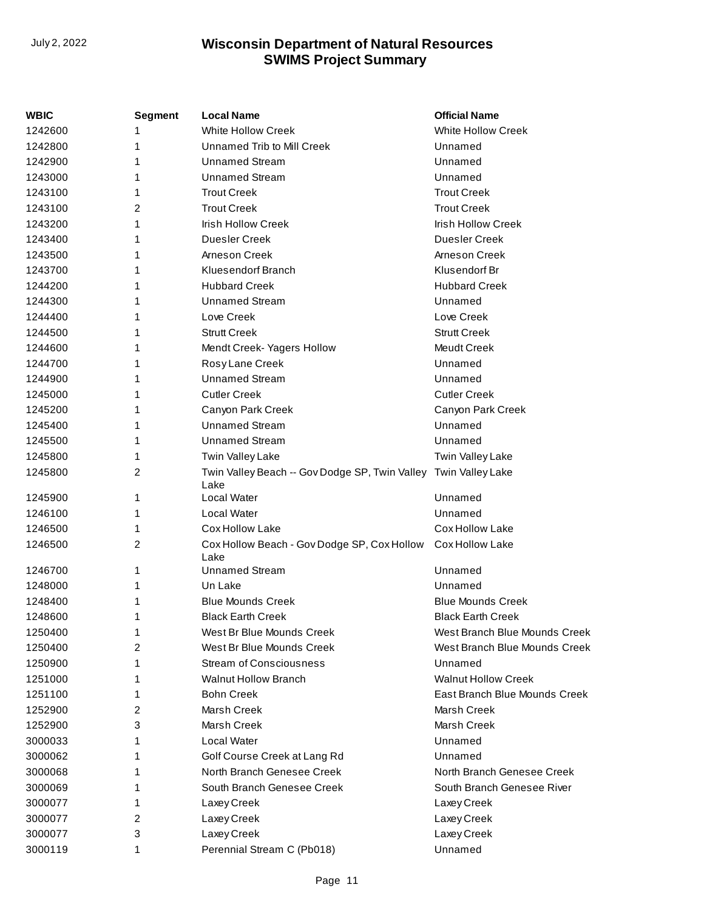| WBIC    | Segment | <b>Local Name</b>                                                       | <b>Official Name</b>          |
|---------|---------|-------------------------------------------------------------------------|-------------------------------|
| 1242600 |         | <b>White Hollow Creek</b>                                               | <b>White Hollow Creek</b>     |
| 1242800 | 1       | Unnamed Trib to Mill Creek                                              | Unnamed                       |
| 1242900 |         | <b>Unnamed Stream</b>                                                   | Unnamed                       |
| 1243000 | 1       | <b>Unnamed Stream</b>                                                   | Unnamed                       |
| 1243100 | 1       | <b>Trout Creek</b>                                                      | <b>Trout Creek</b>            |
| 1243100 | 2       | <b>Trout Creek</b>                                                      | <b>Trout Creek</b>            |
| 1243200 | 1       | <b>Irish Hollow Creek</b>                                               | Irish Hollow Creek            |
| 1243400 | 1       | Duesler Creek                                                           | <b>Duesler Creek</b>          |
| 1243500 | 1       | Arneson Creek                                                           | Arneson Creek                 |
| 1243700 |         | Kluesendorf Branch                                                      | Klusendorf Br                 |
| 1244200 |         | <b>Hubbard Creek</b>                                                    | <b>Hubbard Creek</b>          |
| 1244300 |         | <b>Unnamed Stream</b>                                                   | Unnamed                       |
| 1244400 | 1       | Love Creek                                                              | Love Creek                    |
| 1244500 |         | <b>Strutt Creek</b>                                                     | <b>Strutt Creek</b>           |
| 1244600 |         | Mendt Creek- Yagers Hollow                                              | Meudt Creek                   |
| 1244700 |         | Rosy Lane Creek                                                         | Unnamed                       |
| 1244900 | 1       | <b>Unnamed Stream</b>                                                   | Unnamed                       |
| 1245000 |         | <b>Cutler Creek</b>                                                     | <b>Cutler Creek</b>           |
| 1245200 |         | Canyon Park Creek                                                       | Canyon Park Creek             |
| 1245400 | 1       | <b>Unnamed Stream</b>                                                   | Unnamed                       |
| 1245500 | 1       | <b>Unnamed Stream</b>                                                   | Unnamed                       |
| 1245800 | 1       | Twin Valley Lake                                                        | Twin Valley Lake              |
| 1245800 | 2       | Twin Valley Beach -- Gov Dodge SP, Twin Valley Twin Valley Lake<br>Lake |                               |
| 1245900 | 1       | Local Water                                                             | Unnamed                       |
| 1246100 | 1       | Local Water                                                             | Unnamed                       |
| 1246500 | 1       | <b>Cox Hollow Lake</b>                                                  | Cox Hollow Lake               |
| 1246500 | 2       | Cox Hollow Beach - Gov Dodge SP, Cox Hollow<br>Lake                     | Cox Hollow Lake               |
| 1246700 | 1       | <b>Unnamed Stream</b>                                                   | Unnamed                       |
| 1248000 | 1       | Un Lake                                                                 | Unnamed                       |
| 1248400 | 1       | <b>Blue Mounds Creek</b>                                                | <b>Blue Mounds Creek</b>      |
| 1248600 | 1       | <b>Black Earth Creek</b>                                                | <b>Black Earth Creek</b>      |
| 1250400 | 1       | West Br Blue Mounds Creek                                               | West Branch Blue Mounds Creek |
| 1250400 | 2       | West Br Blue Mounds Creek                                               | West Branch Blue Mounds Creek |
| 1250900 | 1       | <b>Stream of Consciousness</b>                                          | Unnamed                       |
| 1251000 | 1       | <b>Walnut Hollow Branch</b>                                             | <b>Walnut Hollow Creek</b>    |
| 1251100 | 1       | <b>Bohn Creek</b>                                                       | East Branch Blue Mounds Creek |
| 1252900 | 2       | Marsh Creek                                                             | Marsh Creek                   |
| 1252900 | 3       | Marsh Creek                                                             | Marsh Creek                   |
| 3000033 | 1       | Local Water                                                             | Unnamed                       |
| 3000062 | 1       | Golf Course Creek at Lang Rd                                            | Unnamed                       |
| 3000068 | 1       | North Branch Genesee Creek                                              | North Branch Genesee Creek    |
| 3000069 | 1       | South Branch Genesee Creek                                              | South Branch Genesee River    |
| 3000077 | 1       | Laxey Creek                                                             | Laxey Creek                   |
| 3000077 | 2       | Laxey Creek                                                             | Laxey Creek                   |
| 3000077 | 3       | Laxey Creek                                                             | Laxey Creek                   |
| 3000119 | 1       | Perennial Stream C (Pb018)                                              | Unnamed                       |
|         |         |                                                                         |                               |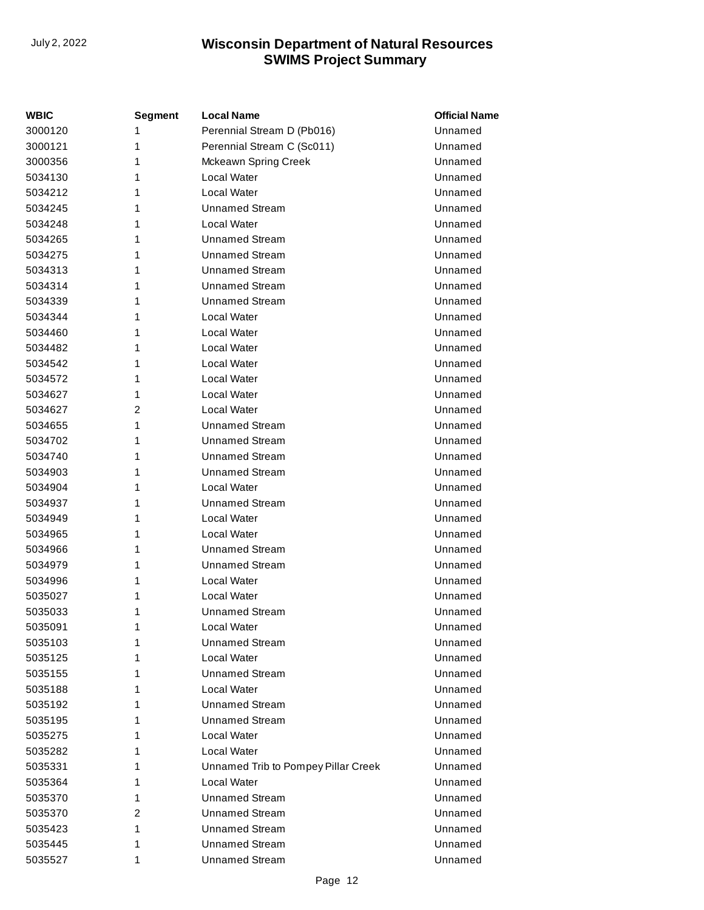| <b>WBIC</b> | <b>Segment</b> | <b>Local Name</b>                   | <b>Official Name</b> |
|-------------|----------------|-------------------------------------|----------------------|
| 3000120     | 1              | Perennial Stream D (Pb016)          | Unnamed              |
| 3000121     | 1              | Perennial Stream C (Sc011)          | Unnamed              |
| 3000356     | 1              | Mckeawn Spring Creek                | Unnamed              |
| 5034130     | 1              | Local Water                         | Unnamed              |
| 5034212     | 1              | Local Water                         | Unnamed              |
| 5034245     | 1              | <b>Unnamed Stream</b>               | Unnamed              |
| 5034248     | 1              | Local Water                         | Unnamed              |
| 5034265     | 1              | <b>Unnamed Stream</b>               | Unnamed              |
| 5034275     | 1              | <b>Unnamed Stream</b>               | Unnamed              |
| 5034313     | 1              | Unnamed Stream                      | Unnamed              |
| 5034314     | 1              | <b>Unnamed Stream</b>               | Unnamed              |
| 5034339     | 1              | <b>Unnamed Stream</b>               | Unnamed              |
| 5034344     | 1              | Local Water                         | Unnamed              |
| 5034460     | 1              | Local Water                         | Unnamed              |
| 5034482     | 1              | <b>Local Water</b>                  | Unnamed              |
| 5034542     | 1              | Local Water                         | Unnamed              |
| 5034572     | 1              | <b>Local Water</b>                  | Unnamed              |
| 5034627     | 1              | Local Water                         | Unnamed              |
| 5034627     | 2              | Local Water                         | Unnamed              |
| 5034655     | 1              | <b>Unnamed Stream</b>               | Unnamed              |
| 5034702     | 1              | <b>Unnamed Stream</b>               | Unnamed              |
| 5034740     | 1              | <b>Unnamed Stream</b>               | Unnamed              |
| 5034903     | 1              | <b>Unnamed Stream</b>               | Unnamed              |
| 5034904     | 1              | Local Water                         | Unnamed              |
| 5034937     | 1              | <b>Unnamed Stream</b>               | Unnamed              |
| 5034949     | 1              | Local Water                         | Unnamed              |
| 5034965     | 1              | Local Water                         | Unnamed              |
| 5034966     | 1              | <b>Unnamed Stream</b>               | Unnamed              |
| 5034979     | 1              | <b>Unnamed Stream</b>               | Unnamed              |
| 5034996     | 1              | Local Water                         | Unnamed              |
| 5035027     | 1              | Local Water                         | Unnamed              |
| 5035033     | 1              | <b>Unnamed Stream</b>               | Unnamed              |
| 5035091     | 1              | Local Water                         | Unnamed              |
| 5035103     | 1              | <b>Unnamed Stream</b>               | Unnamed              |
| 5035125     | 1              | Local Water                         | Unnamed              |
| 5035155     | 1              | <b>Unnamed Stream</b>               | Unnamed              |
| 5035188     | 1              | Local Water                         | Unnamed              |
| 5035192     | 1              | <b>Unnamed Stream</b>               | Unnamed              |
| 5035195     | 1              | <b>Unnamed Stream</b>               | Unnamed              |
| 5035275     | 1              | Local Water                         | Unnamed              |
| 5035282     | 1              | Local Water                         | Unnamed              |
| 5035331     | 1              | Unnamed Trib to Pompey Pillar Creek | Unnamed              |
| 5035364     | 1              | Local Water                         | Unnamed              |
| 5035370     | 1              | <b>Unnamed Stream</b>               | Unnamed              |
| 5035370     | 2              | <b>Unnamed Stream</b>               | Unnamed              |
| 5035423     | 1              | <b>Unnamed Stream</b>               | Unnamed              |
| 5035445     | 1              | <b>Unnamed Stream</b>               | Unnamed              |
| 5035527     | 1              | <b>Unnamed Stream</b>               | Unnamed              |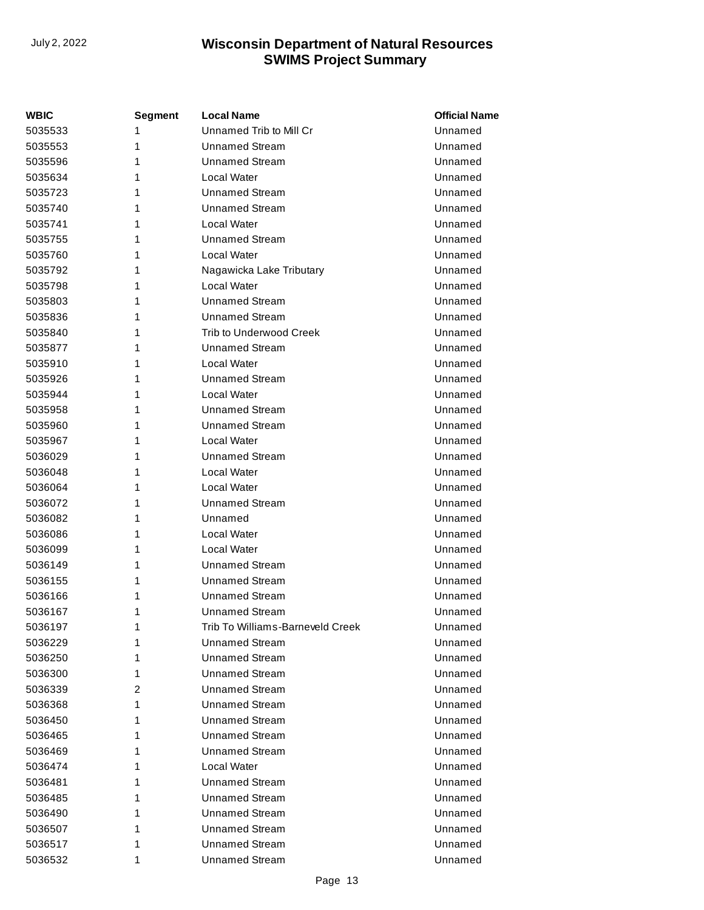| <b>WBIC</b> | Segment | <b>Local Name</b>                | <b>Official Name</b> |
|-------------|---------|----------------------------------|----------------------|
| 5035533     | 1       | Unnamed Trib to Mill Cr          | Unnamed              |
| 5035553     | 1       | <b>Unnamed Stream</b>            | Unnamed              |
| 5035596     | 1       | <b>Unnamed Stream</b>            | Unnamed              |
| 5035634     | 1       | Local Water                      | Unnamed              |
| 5035723     | 1       | Unnamed Stream                   | Unnamed              |
| 5035740     | 1       | Unnamed Stream                   | Unnamed              |
| 5035741     | 1       | Local Water                      | Unnamed              |
| 5035755     | 1       | <b>Unnamed Stream</b>            | Unnamed              |
| 5035760     | 1       | Local Water                      | Unnamed              |
| 5035792     | 1       | Nagawicka Lake Tributary         | Unnamed              |
| 5035798     | 1       | Local Water                      | Unnamed              |
| 5035803     | 1       | <b>Unnamed Stream</b>            | Unnamed              |
| 5035836     | 1       | Unnamed Stream                   | Unnamed              |
| 5035840     | 1       | Trib to Underwood Creek          | Unnamed              |
| 5035877     | 1       | Unnamed Stream                   | Unnamed              |
| 5035910     | 1       | Local Water                      | Unnamed              |
| 5035926     | 1       | Unnamed Stream                   | Unnamed              |
| 5035944     | 1       | Local Water                      | Unnamed              |
| 5035958     | 1       | <b>Unnamed Stream</b>            | Unnamed              |
| 5035960     | 1       | <b>Unnamed Stream</b>            | Unnamed              |
| 5035967     | 1       | Local Water                      | Unnamed              |
| 5036029     | 1       | Unnamed Stream                   | Unnamed              |
| 5036048     | 1       | Local Water                      | Unnamed              |
| 5036064     | 1       | Local Water                      | Unnamed              |
| 5036072     | 1       | <b>Unnamed Stream</b>            | Unnamed              |
| 5036082     | 1       | Unnamed                          | Unnamed              |
| 5036086     | 1       | Local Water                      | Unnamed              |
| 5036099     | 1       | Local Water                      | Unnamed              |
| 5036149     | 1       | Unnamed Stream                   | Unnamed              |
| 5036155     | 1       | <b>Unnamed Stream</b>            | Unnamed              |
| 5036166     | 1       | Unnamed Stream                   | Unnamed              |
| 5036167     | 1       | <b>Unnamed Stream</b>            | Unnamed              |
| 5036197     | 1       | Trib To Williams-Barneveld Creek | Unnamed              |
| 5036229     | 1       | <b>Unnamed Stream</b>            | Unnamed              |
| 5036250     | 1       | <b>Unnamed Stream</b>            | Unnamed              |
| 5036300     | 1       | <b>Unnamed Stream</b>            | Unnamed              |
| 5036339     | 2       | <b>Unnamed Stream</b>            | Unnamed              |
| 5036368     | 1       | <b>Unnamed Stream</b>            | Unnamed              |
| 5036450     | 1       | <b>Unnamed Stream</b>            | Unnamed              |
| 5036465     | 1       | <b>Unnamed Stream</b>            | Unnamed              |
| 5036469     | 1       | <b>Unnamed Stream</b>            | Unnamed              |
| 5036474     | 1       | Local Water                      | Unnamed              |
| 5036481     | 1       | <b>Unnamed Stream</b>            | Unnamed              |
| 5036485     | 1       | <b>Unnamed Stream</b>            | Unnamed              |
| 5036490     | 1       | <b>Unnamed Stream</b>            | Unnamed              |
| 5036507     | 1       | <b>Unnamed Stream</b>            | Unnamed              |
| 5036517     | 1       | <b>Unnamed Stream</b>            | Unnamed              |
| 5036532     | 1       | <b>Unnamed Stream</b>            | Unnamed              |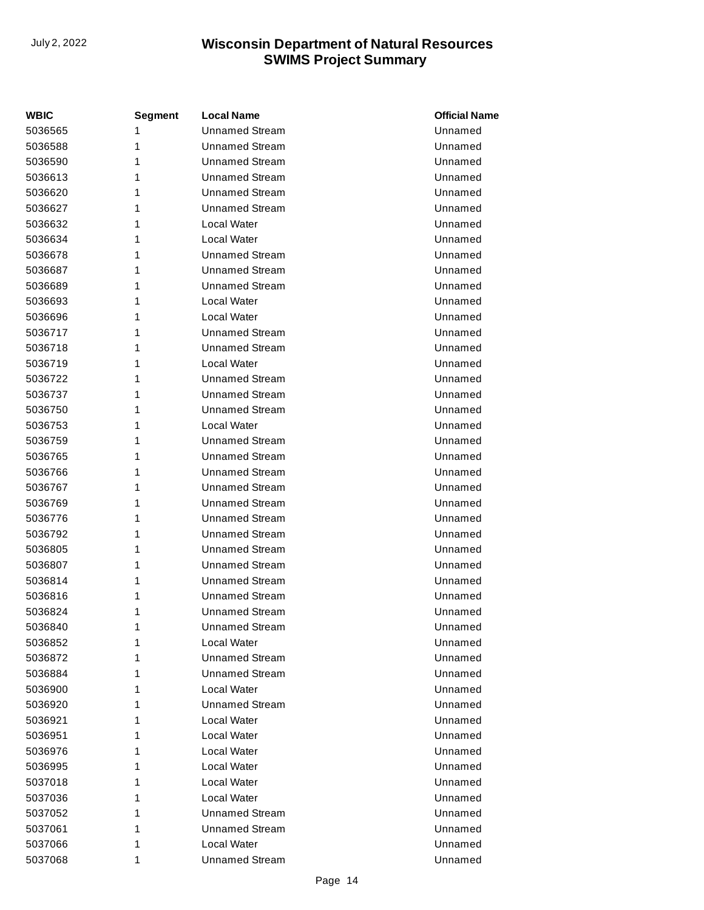| <b>WBIC</b> | Segment | <b>Local Name</b>     | <b>Official Name</b> |
|-------------|---------|-----------------------|----------------------|
| 5036565     | 1       | <b>Unnamed Stream</b> | Unnamed              |
| 5036588     | 1       | Unnamed Stream        | Unnamed              |
| 5036590     | 1       | <b>Unnamed Stream</b> | Unnamed              |
| 5036613     | 1       | <b>Unnamed Stream</b> | Unnamed              |
| 5036620     | 1       | <b>Unnamed Stream</b> | Unnamed              |
| 5036627     | 1       | <b>Unnamed Stream</b> | Unnamed              |
| 5036632     | 1       | Local Water           | Unnamed              |
| 5036634     | 1       | Local Water           | Unnamed              |
| 5036678     | 1       | <b>Unnamed Stream</b> | Unnamed              |
| 5036687     | 1       | <b>Unnamed Stream</b> | Unnamed              |
| 5036689     | 1       | <b>Unnamed Stream</b> | Unnamed              |
| 5036693     | 1       | Local Water           | Unnamed              |
| 5036696     | 1       | Local Water           | Unnamed              |
| 5036717     | 1       | <b>Unnamed Stream</b> | Unnamed              |
| 5036718     | 1       | <b>Unnamed Stream</b> | Unnamed              |
| 5036719     | 1       | Local Water           | Unnamed              |
| 5036722     | 1       | <b>Unnamed Stream</b> | Unnamed              |
| 5036737     | 1       | <b>Unnamed Stream</b> | Unnamed              |
| 5036750     | 1       | <b>Unnamed Stream</b> | Unnamed              |
| 5036753     | 1       | Local Water           | Unnamed              |
| 5036759     | 1       | <b>Unnamed Stream</b> | Unnamed              |
| 5036765     | 1       | <b>Unnamed Stream</b> | Unnamed              |
| 5036766     | 1       | <b>Unnamed Stream</b> | Unnamed              |
| 5036767     | 1       | <b>Unnamed Stream</b> | Unnamed              |
| 5036769     | 1       | <b>Unnamed Stream</b> | Unnamed              |
| 5036776     | 1       | <b>Unnamed Stream</b> | Unnamed              |
| 5036792     | 1       | <b>Unnamed Stream</b> | Unnamed              |
| 5036805     | 1       | <b>Unnamed Stream</b> | Unnamed              |
| 5036807     | 1       | <b>Unnamed Stream</b> | Unnamed              |
| 5036814     | 1       | <b>Unnamed Stream</b> | Unnamed              |
| 5036816     | 1       | <b>Unnamed Stream</b> | Unnamed              |
| 5036824     | 1       | <b>Unnamed Stream</b> | Unnamed              |
| 5036840     | 1       | <b>Unnamed Stream</b> | Unnamed              |
| 5036852     | 1       | Local Water           | Unnamed              |
| 5036872     | 1       | <b>Unnamed Stream</b> | Unnamed              |
| 5036884     | 1       | <b>Unnamed Stream</b> | Unnamed              |
| 5036900     | 1       | Local Water           | Unnamed              |
| 5036920     | 1       | Unnamed Stream        | Unnamed              |
| 5036921     | 1       | Local Water           | Unnamed              |
| 5036951     | 1       | Local Water           | Unnamed              |
| 5036976     | 1       | Local Water           | Unnamed              |
| 5036995     | 1       | Local Water           | Unnamed              |
| 5037018     | 1       | Local Water           | Unnamed              |
| 5037036     | 1       | Local Water           | Unnamed              |
| 5037052     | 1       | <b>Unnamed Stream</b> | Unnamed              |
| 5037061     | 1       | <b>Unnamed Stream</b> | Unnamed              |
| 5037066     | 1       | Local Water           | Unnamed              |
| 5037068     | 1       | <b>Unnamed Stream</b> | Unnamed              |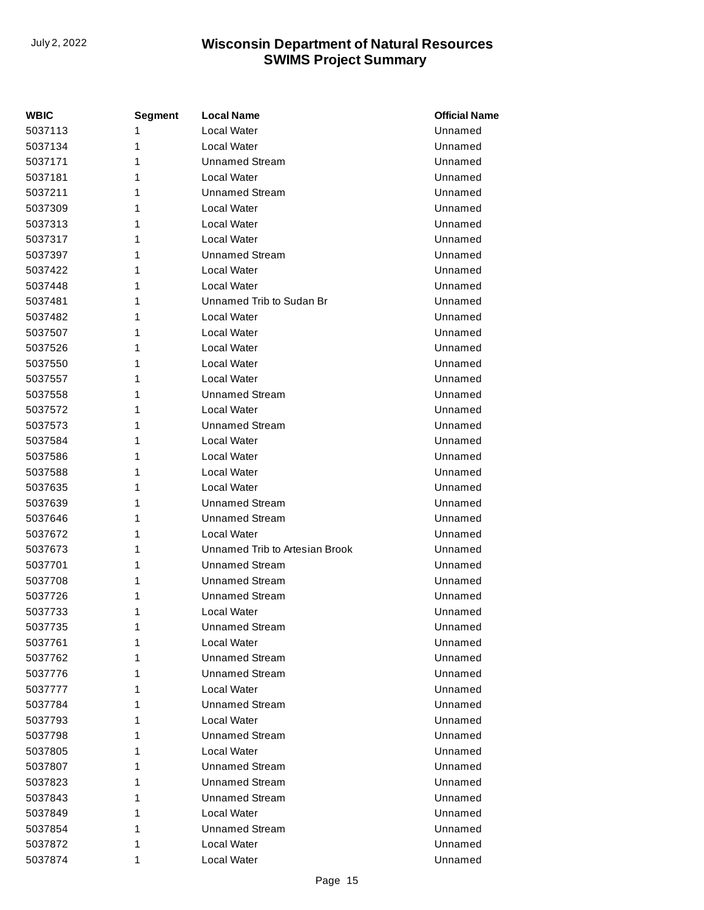| <b>WBIC</b> | <b>Segment</b> | <b>Local Name</b>              | <b>Official Name</b> |
|-------------|----------------|--------------------------------|----------------------|
| 5037113     | 1              | Local Water                    | Unnamed              |
| 5037134     | 1              | Local Water                    | Unnamed              |
| 5037171     | 1              | <b>Unnamed Stream</b>          | Unnamed              |
| 5037181     | 1              | Local Water                    | Unnamed              |
| 5037211     | 1              | <b>Unnamed Stream</b>          | Unnamed              |
| 5037309     | 1              | Local Water                    | Unnamed              |
| 5037313     | 1              | Local Water                    | Unnamed              |
| 5037317     | 1              | Local Water                    | Unnamed              |
| 5037397     | 1              | <b>Unnamed Stream</b>          | Unnamed              |
| 5037422     | 1              | Local Water                    | Unnamed              |
| 5037448     | 1              | Local Water                    | Unnamed              |
| 5037481     | 1              | Unnamed Trib to Sudan Br       | Unnamed              |
| 5037482     | 1              | Local Water                    | Unnamed              |
| 5037507     | 1              | Local Water                    | Unnamed              |
| 5037526     | 1              | Local Water                    | Unnamed              |
| 5037550     | 1              | Local Water                    | Unnamed              |
| 5037557     | 1              | Local Water                    | Unnamed              |
| 5037558     | 1              | <b>Unnamed Stream</b>          | Unnamed              |
| 5037572     | 1              | Local Water                    | Unnamed              |
| 5037573     | 1              | <b>Unnamed Stream</b>          | Unnamed              |
| 5037584     | 1              | Local Water                    | Unnamed              |
| 5037586     | 1              | Local Water                    | Unnamed              |
| 5037588     | 1              | Local Water                    | Unnamed              |
| 5037635     | 1              | Local Water                    | Unnamed              |
| 5037639     | 1              | <b>Unnamed Stream</b>          | Unnamed              |
| 5037646     | 1              | <b>Unnamed Stream</b>          | Unnamed              |
| 5037672     | 1              | Local Water                    | Unnamed              |
| 5037673     | 1              | Unnamed Trib to Artesian Brook | Unnamed              |
| 5037701     | 1              | <b>Unnamed Stream</b>          | Unnamed              |
| 5037708     | 1              | <b>Unnamed Stream</b>          | Unnamed              |
| 5037726     | 1              | Unnamed Stream                 | Unnamed              |
| 5037733     | 1              | Local Water                    | Unnamed              |
| 5037735     | 1              | <b>Unnamed Stream</b>          | Unnamed              |
| 5037761     | 1              | Local Water                    | Unnamed              |
| 5037762     | 1              | <b>Unnamed Stream</b>          | Unnamed              |
| 5037776     | 1              | <b>Unnamed Stream</b>          | Unnamed              |
| 5037777     | 1              | Local Water                    | Unnamed              |
| 5037784     | 1              | Unnamed Stream                 | Unnamed              |
| 5037793     | 1              | Local Water                    | Unnamed              |
| 5037798     | 1              | Unnamed Stream                 | Unnamed              |
| 5037805     | 1              | Local Water                    | Unnamed              |
| 5037807     | 1              | <b>Unnamed Stream</b>          | Unnamed              |
| 5037823     | 1              | <b>Unnamed Stream</b>          | Unnamed              |
| 5037843     | 1              | <b>Unnamed Stream</b>          | Unnamed              |
| 5037849     | 1              | Local Water                    | Unnamed              |
| 5037854     | 1              | Unnamed Stream                 | Unnamed              |
| 5037872     | 1              | Local Water                    | Unnamed              |
| 5037874     | 1              | Local Water                    | Unnamed              |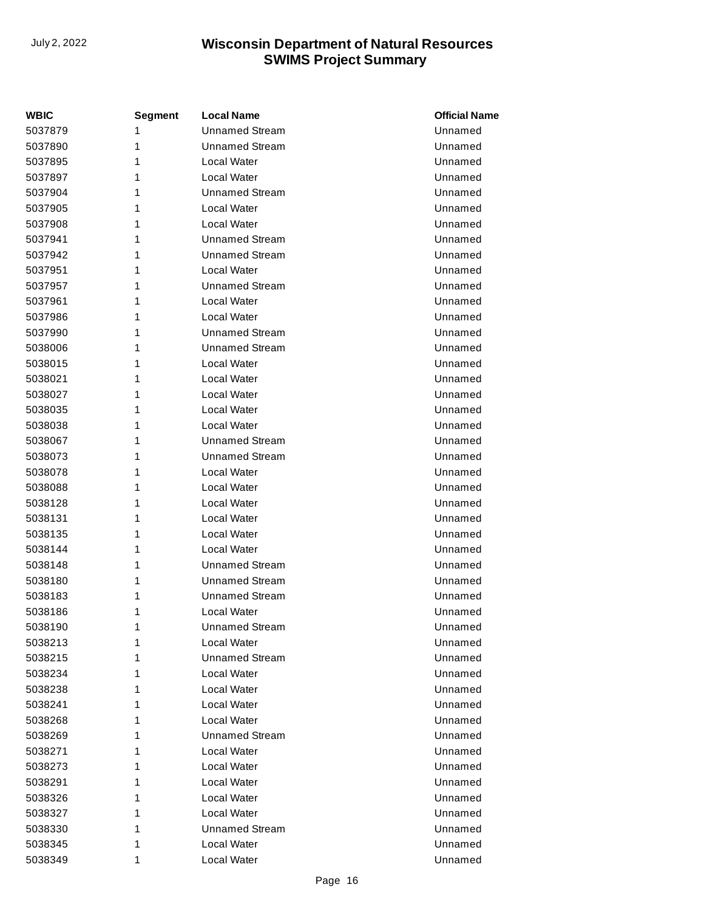| <b>WBIC</b> | <b>Segment</b> | <b>Local Name</b>     | <b>Official Name</b> |
|-------------|----------------|-----------------------|----------------------|
| 5037879     | 1              | <b>Unnamed Stream</b> | Unnamed              |
| 5037890     | 1              | <b>Unnamed Stream</b> | Unnamed              |
| 5037895     | 1              | Local Water           | Unnamed              |
| 5037897     | 1              | Local Water           | Unnamed              |
| 5037904     | 1              | <b>Unnamed Stream</b> | Unnamed              |
| 5037905     | 1              | Local Water           | Unnamed              |
| 5037908     | 1              | Local Water           | Unnamed              |
| 5037941     | 1              | <b>Unnamed Stream</b> | Unnamed              |
| 5037942     | 1              | <b>Unnamed Stream</b> | Unnamed              |
| 5037951     | 1              | Local Water           | Unnamed              |
| 5037957     | 1              | Unnamed Stream        | Unnamed              |
| 5037961     | 1              | Local Water           | Unnamed              |
| 5037986     | 1              | Local Water           | Unnamed              |
| 5037990     | 1              | <b>Unnamed Stream</b> | Unnamed              |
| 5038006     | 1              | <b>Unnamed Stream</b> | Unnamed              |
| 5038015     | 1              | Local Water           | Unnamed              |
| 5038021     | 1              | Local Water           | Unnamed              |
| 5038027     | 1              | Local Water           | Unnamed              |
| 5038035     | 1              | Local Water           | Unnamed              |
| 5038038     | 1              | Local Water           | Unnamed              |
| 5038067     | 1              | <b>Unnamed Stream</b> | Unnamed              |
| 5038073     | 1              | <b>Unnamed Stream</b> | Unnamed              |
| 5038078     | 1              | Local Water           | Unnamed              |
| 5038088     | 1              | Local Water           | Unnamed              |
| 5038128     | 1              | Local Water           | Unnamed              |
| 5038131     | 1              | Local Water           | Unnamed              |
| 5038135     | 1              | Local Water           | Unnamed              |
| 5038144     | 1              | Local Water           | Unnamed              |
| 5038148     | 1              | <b>Unnamed Stream</b> | Unnamed              |
| 5038180     | 1              | <b>Unnamed Stream</b> | Unnamed              |
| 5038183     | 1              | <b>Unnamed Stream</b> | Unnamed              |
| 5038186     | 1              | Local Water           | Unnamed              |
| 5038190     | 1              | <b>Unnamed Stream</b> | Unnamed              |
| 5038213     | 1              | Local Water           | Unnamed              |
| 5038215     | 1              | Unnamed Stream        | Unnamed              |
| 5038234     | 1              | Local Water           | Unnamed              |
| 5038238     | 1              | Local Water           | Unnamed              |
| 5038241     | 1              | Local Water           | Unnamed              |
| 5038268     | 1              | Local Water           | Unnamed              |
| 5038269     | 1              | <b>Unnamed Stream</b> | Unnamed              |
| 5038271     | 1              | Local Water           | Unnamed              |
| 5038273     | 1              | Local Water           | Unnamed              |
| 5038291     | 1              | Local Water           | Unnamed              |
| 5038326     | 1              | Local Water           | Unnamed              |
| 5038327     | 1              | Local Water           | Unnamed              |
| 5038330     | 1              | <b>Unnamed Stream</b> | Unnamed              |
| 5038345     | 1              | Local Water           | Unnamed              |
| 5038349     | 1              | Local Water           | Unnamed              |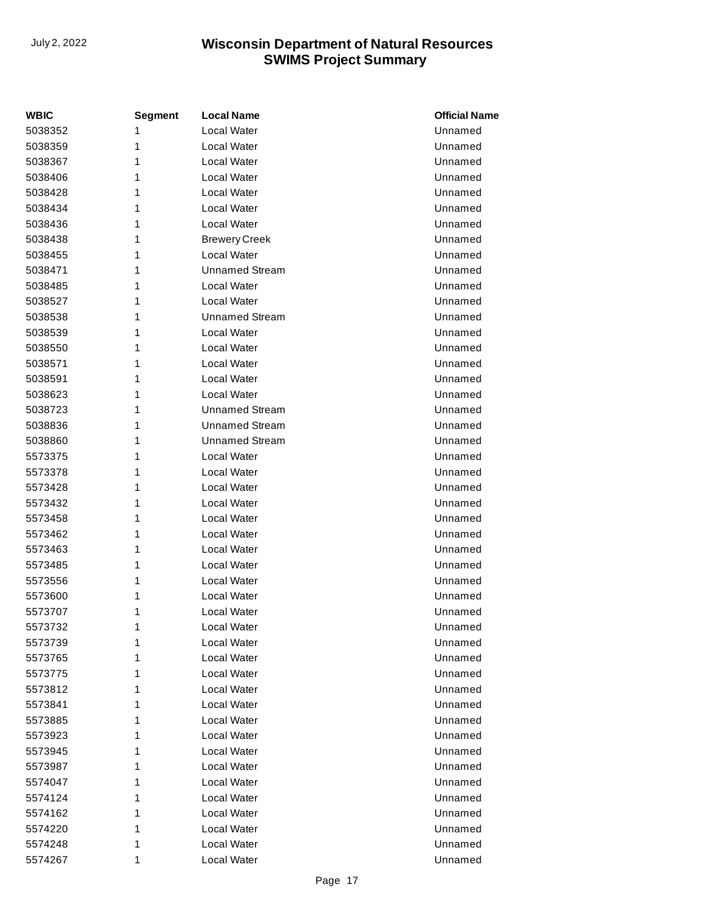| WBIC    | <b>Segment</b> | <b>Local Name</b>     | <b>Official Name</b> |
|---------|----------------|-----------------------|----------------------|
| 5038352 | 1              | Local Water           | Unnamed              |
| 5038359 | 1              | Local Water           | Unnamed              |
| 5038367 | 1              | Local Water           | Unnamed              |
| 5038406 | 1              | Local Water           | Unnamed              |
| 5038428 | 1              | Local Water           | Unnamed              |
| 5038434 | 1              | Local Water           | Unnamed              |
| 5038436 | 1              | Local Water           | Unnamed              |
| 5038438 | 1              | <b>Brewery Creek</b>  | Unnamed              |
| 5038455 | 1              | Local Water           | Unnamed              |
| 5038471 | 1              | <b>Unnamed Stream</b> | Unnamed              |
| 5038485 | 1              | Local Water           | Unnamed              |
| 5038527 | 1              | Local Water           | Unnamed              |
| 5038538 | 1              | <b>Unnamed Stream</b> | Unnamed              |
| 5038539 | 1              | Local Water           | Unnamed              |
| 5038550 | 1              | Local Water           | Unnamed              |
| 5038571 | 1              | Local Water           | Unnamed              |
| 5038591 | 1              | Local Water           | Unnamed              |
| 5038623 | 1              | Local Water           | Unnamed              |
| 5038723 | 1              | <b>Unnamed Stream</b> | Unnamed              |
| 5038836 | 1              | <b>Unnamed Stream</b> | Unnamed              |
| 5038860 | 1              | <b>Unnamed Stream</b> | Unnamed              |
| 5573375 | 1              | Local Water           | Unnamed              |
| 5573378 | 1              | Local Water           | Unnamed              |
| 5573428 | 1              | Local Water           | Unnamed              |
| 5573432 | 1              | Local Water           | Unnamed              |
| 5573458 | 1              | Local Water           | Unnamed              |
| 5573462 | 1              | Local Water           | Unnamed              |
| 5573463 | 1              | Local Water           | Unnamed              |
| 5573485 | 1              | Local Water           | Unnamed              |
| 5573556 | 1              | Local Water           | Unnamed              |
| 5573600 | 1              | Local Water           | Unnamed              |
| 5573707 | 1              | Local Water           | Unnamed              |
| 5573732 | 1              | Local Water           | Unnamed              |
| 5573739 | 1              | Local Water           | Unnamed              |
| 5573765 | 1              | Local Water           | Unnamed              |
| 5573775 | 1              | Local Water           | Unnamed              |
| 5573812 | 1              | Local Water           | Unnamed              |
| 5573841 | 1              | Local Water           | Unnamed              |
| 5573885 | 1              | Local Water           | Unnamed              |
| 5573923 | 1              | Local Water           | Unnamed              |
| 5573945 | 1              | Local Water           | Unnamed              |
| 5573987 | 1              | Local Water           | Unnamed              |
| 5574047 | 1              | Local Water           | Unnamed              |
| 5574124 | 1              | Local Water           | Unnamed              |
| 5574162 | 1              | Local Water           | Unnamed              |
| 5574220 | 1              | Local Water           | Unnamed              |
| 5574248 | 1              | Local Water           | Unnamed              |
| 5574267 | 1              | Local Water           | Unnamed              |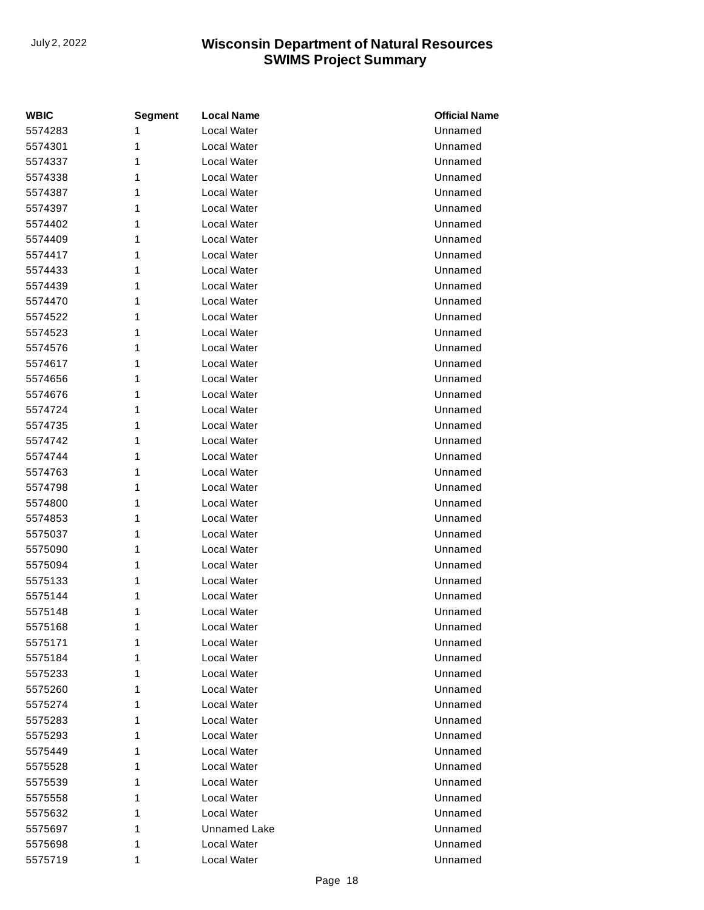| <b>WBIC</b> | <b>Segment</b> | <b>Local Name</b>   | <b>Official Name</b> |
|-------------|----------------|---------------------|----------------------|
| 5574283     | 1              | <b>Local Water</b>  | Unnamed              |
| 5574301     | 1              | Local Water         | Unnamed              |
| 5574337     | 1              | Local Water         | Unnamed              |
| 5574338     | 1              | Local Water         | Unnamed              |
| 5574387     | 1              | Local Water         | Unnamed              |
| 5574397     | 1              | <b>Local Water</b>  | Unnamed              |
| 5574402     | 1              | Local Water         | Unnamed              |
| 5574409     | 1              | Local Water         | Unnamed              |
| 5574417     | 1              | Local Water         | Unnamed              |
| 5574433     | 1              | Local Water         | Unnamed              |
| 5574439     | 1              | Local Water         | Unnamed              |
| 5574470     | 1              | Local Water         | Unnamed              |
| 5574522     | 1              | Local Water         | Unnamed              |
| 5574523     | 1              | <b>Local Water</b>  | Unnamed              |
| 5574576     | 1              | Local Water         | Unnamed              |
| 5574617     | 1              | Local Water         | Unnamed              |
| 5574656     | 1              | Local Water         | Unnamed              |
| 5574676     | 1              | Local Water         | Unnamed              |
| 5574724     | 1              | Local Water         | Unnamed              |
| 5574735     | 1              | Local Water         | Unnamed              |
| 5574742     | 1              | Local Water         | Unnamed              |
| 5574744     | 1              | <b>Local Water</b>  | Unnamed              |
| 5574763     | 1              | Local Water         | Unnamed              |
| 5574798     | 1              | Local Water         | Unnamed              |
| 5574800     | 1              | Local Water         | Unnamed              |
| 5574853     | 1              | Local Water         | Unnamed              |
| 5575037     | 1              | Local Water         | Unnamed              |
| 5575090     | 1              | Local Water         | Unnamed              |
| 5575094     | 1              | Local Water         | Unnamed              |
| 5575133     | 1              | Local Water         | Unnamed              |
| 5575144     | 1              | Local Water         | Unnamed              |
| 5575148     | 1              | Local Water         | Unnamed              |
| 5575168     | 1              | Local Water         | Unnamed              |
| 5575171     | 1              | <b>Local Water</b>  | Unnamed              |
| 5575184     | 1              | Local Water         | Unnamed              |
| 5575233     | 1              | Local Water         | Unnamed              |
| 5575260     | 1              | Local Water         | Unnamed              |
| 5575274     | 1              | Local Water         | Unnamed              |
| 5575283     | 1              | Local Water         | Unnamed              |
| 5575293     | 1              | Local Water         | Unnamed              |
| 5575449     | 1              | Local Water         | Unnamed              |
| 5575528     | 1              | Local Water         | Unnamed              |
| 5575539     | 1              | Local Water         | Unnamed              |
| 5575558     | 1              | Local Water         | Unnamed              |
| 5575632     | 1              | Local Water         | Unnamed              |
| 5575697     | 1              | <b>Unnamed Lake</b> | Unnamed              |
| 5575698     | 1              | Local Water         | Unnamed              |
| 5575719     | 1              | Local Water         | Unnamed              |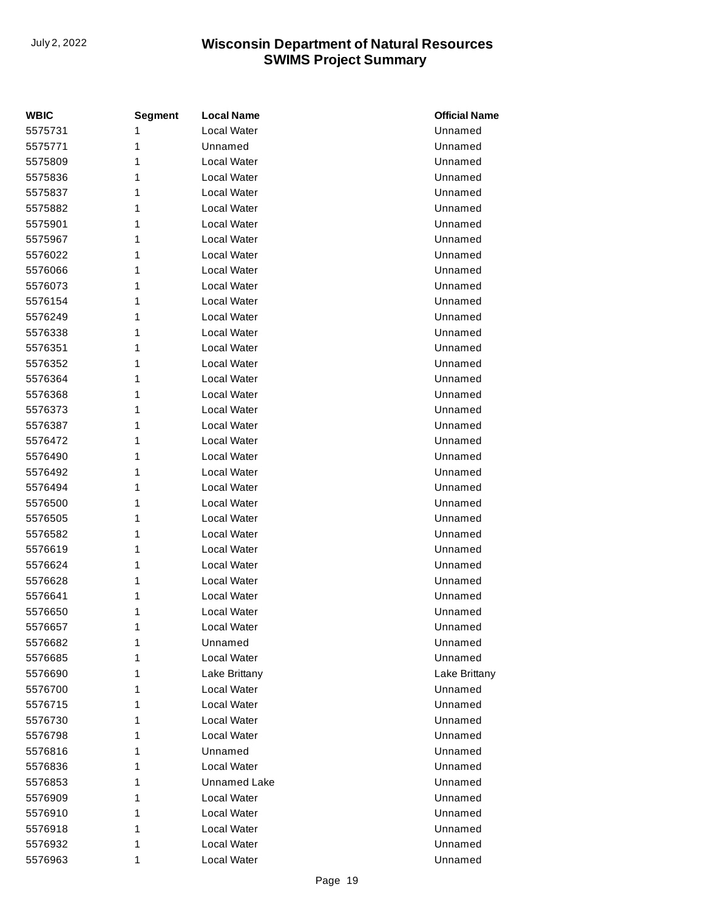| WBIC    | <b>Segment</b> | <b>Local Name</b>   | <b>Official Name</b> |
|---------|----------------|---------------------|----------------------|
| 5575731 | 1              | Local Water         | Unnamed              |
| 5575771 | 1              | Unnamed             | Unnamed              |
| 5575809 | 1              | Local Water         | Unnamed              |
| 5575836 | 1              | Local Water         | Unnamed              |
| 5575837 | 1              | Local Water         | Unnamed              |
| 5575882 | 1              | Local Water         | Unnamed              |
| 5575901 | 1              | Local Water         | Unnamed              |
| 5575967 | 1              | Local Water         | Unnamed              |
| 5576022 | 1              | Local Water         | Unnamed              |
| 5576066 | 1              | Local Water         | Unnamed              |
| 5576073 | 1              | Local Water         | Unnamed              |
| 5576154 | 1              | Local Water         | Unnamed              |
| 5576249 | 1              | Local Water         | Unnamed              |
| 5576338 | 1              | Local Water         | Unnamed              |
| 5576351 | 1              | Local Water         | Unnamed              |
| 5576352 | 1              | Local Water         | Unnamed              |
| 5576364 | 1              | Local Water         | Unnamed              |
| 5576368 | 1              | Local Water         | Unnamed              |
| 5576373 | 1              | Local Water         | Unnamed              |
| 5576387 | 1              | Local Water         | Unnamed              |
| 5576472 | 1              | Local Water         | Unnamed              |
| 5576490 | 1              | Local Water         | Unnamed              |
| 5576492 | 1              | Local Water         | Unnamed              |
| 5576494 | 1              | Local Water         | Unnamed              |
| 5576500 | 1              | Local Water         | Unnamed              |
| 5576505 | 1              | Local Water         | Unnamed              |
| 5576582 | 1              | Local Water         | Unnamed              |
| 5576619 | 1              | Local Water         | Unnamed              |
| 5576624 | 1              | Local Water         | Unnamed              |
| 5576628 | 1              | Local Water         | Unnamed              |
| 5576641 | 1              | Local Water         | Unnamed              |
| 5576650 | 1              | Local Water         | Unnamed              |
| 5576657 | 1              | Local Water         | Unnamed              |
| 5576682 | 1              | Unnamed             | Unnamed              |
| 5576685 | 1              | Local Water         | Unnamed              |
| 5576690 | 1              | Lake Brittany       | Lake Brittany        |
| 5576700 | 1              | Local Water         | Unnamed              |
| 5576715 | 1              | Local Water         | Unnamed              |
| 5576730 | 1              | Local Water         | Unnamed              |
| 5576798 | 1              | Local Water         | Unnamed              |
| 5576816 | 1              | Unnamed             | Unnamed              |
| 5576836 | 1              | Local Water         | Unnamed              |
| 5576853 | 1              | <b>Unnamed Lake</b> | Unnamed              |
| 5576909 | 1              | Local Water         | Unnamed              |
| 5576910 | 1              | Local Water         | Unnamed              |
| 5576918 | 1              | Local Water         | Unnamed              |
| 5576932 | 1              | Local Water         | Unnamed              |
| 5576963 | 1              | Local Water         | Unnamed              |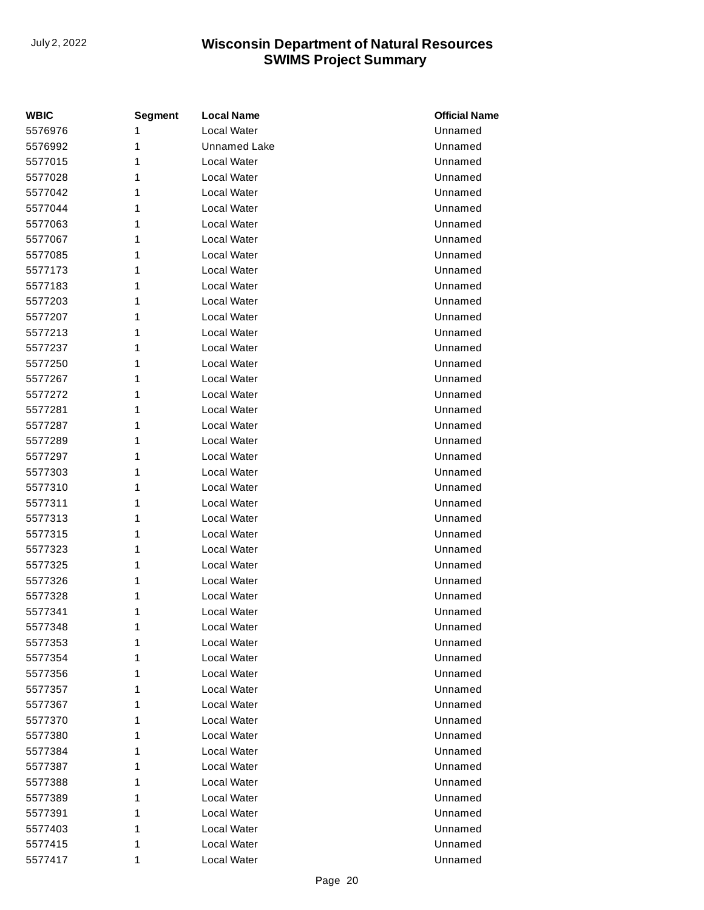| <b>WBIC</b> | <b>Segment</b> | <b>Local Name</b>   | <b>Official Name</b> |
|-------------|----------------|---------------------|----------------------|
| 5576976     | 1              | Local Water         | Unnamed              |
| 5576992     | 1              | <b>Unnamed Lake</b> | Unnamed              |
| 5577015     | 1              | Local Water         | Unnamed              |
| 5577028     | 1              | Local Water         | Unnamed              |
| 5577042     | 1              | Local Water         | Unnamed              |
| 5577044     | 1              | Local Water         | Unnamed              |
| 5577063     | 1              | Local Water         | Unnamed              |
| 5577067     | 1              | Local Water         | Unnamed              |
| 5577085     | 1              | Local Water         | Unnamed              |
| 5577173     | 1              | Local Water         | Unnamed              |
| 5577183     | 1              | Local Water         | Unnamed              |
| 5577203     | 1              | Local Water         | Unnamed              |
| 5577207     | 1              | Local Water         | Unnamed              |
| 5577213     | 1              | Local Water         | Unnamed              |
| 5577237     | 1              | Local Water         | Unnamed              |
| 5577250     | 1              | Local Water         | Unnamed              |
| 5577267     | 1              | Local Water         | Unnamed              |
| 5577272     | 1              | Local Water         | Unnamed              |
| 5577281     | 1              | Local Water         | Unnamed              |
| 5577287     | 1              | Local Water         | Unnamed              |
| 5577289     | 1              | Local Water         | Unnamed              |
| 5577297     | 1              | Local Water         | Unnamed              |
| 5577303     | 1              | Local Water         | Unnamed              |
| 5577310     | 1              | Local Water         | Unnamed              |
| 5577311     | 1              | Local Water         | Unnamed              |
| 5577313     | 1              | Local Water         | Unnamed              |
| 5577315     | 1              | Local Water         | Unnamed              |
| 5577323     | 1              | Local Water         | Unnamed              |
| 5577325     | 1              | Local Water         | Unnamed              |
| 5577326     | 1              | Local Water         | Unnamed              |
| 5577328     | 1              | Local Water         | Unnamed              |
| 5577341     | 1              | Local Water         | Unnamed              |
| 5577348     | 1              | Local Water         | Unnamed              |
| 5577353     | 1              | Local Water         | Unnamed              |
| 5577354     | 1              | Local Water         | Unnamed              |
| 5577356     | 1              | Local Water         | Unnamed              |
| 5577357     | 1              | Local Water         | Unnamed              |
| 5577367     | 1              | Local Water         | Unnamed              |
| 5577370     | 1              | Local Water         | Unnamed              |
| 5577380     | 1              | Local Water         | Unnamed              |
| 5577384     | 1              | Local Water         | Unnamed              |
| 5577387     | 1              | Local Water         | Unnamed              |
| 5577388     | 1              | Local Water         | Unnamed              |
| 5577389     | 1              | Local Water         | Unnamed              |
| 5577391     | 1              | Local Water         | Unnamed              |
| 5577403     | 1              | Local Water         | Unnamed              |
| 5577415     | 1              | Local Water         | Unnamed              |
| 5577417     | 1              | Local Water         | Unnamed              |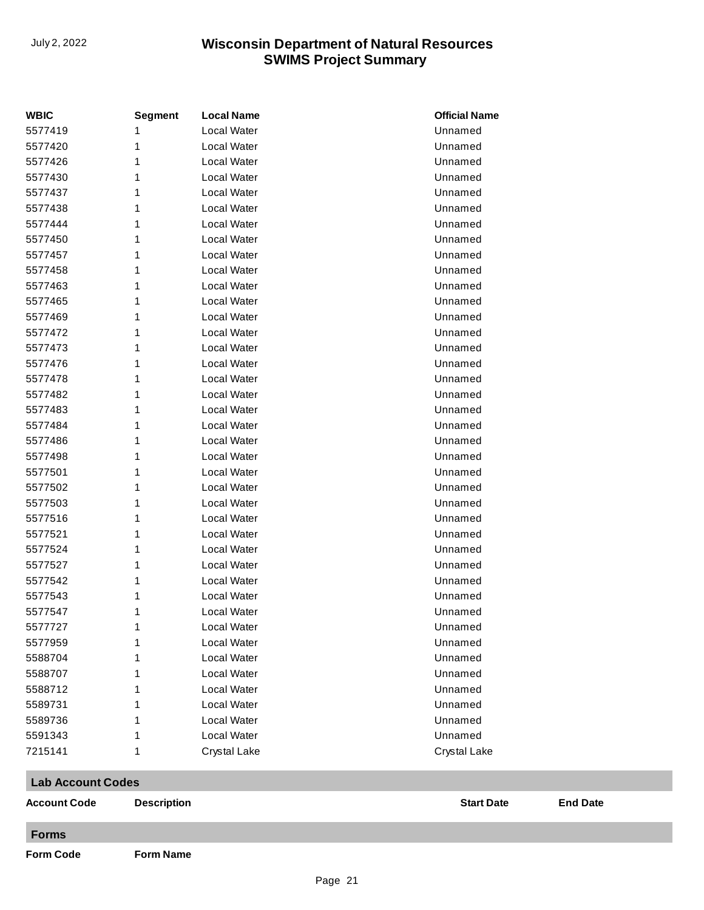| <b>WBIC</b>              | <b>Segment</b>     | <b>Local Name</b> | <b>Official Name</b> |                 |
|--------------------------|--------------------|-------------------|----------------------|-----------------|
| 5577419                  |                    | Local Water       | Unnamed              |                 |
| 5577420                  |                    | Local Water       | Unnamed              |                 |
| 5577426                  |                    | Local Water       | Unnamed              |                 |
| 5577430                  |                    | Local Water       | Unnamed              |                 |
| 5577437                  |                    | Local Water       | Unnamed              |                 |
| 5577438                  |                    | Local Water       | Unnamed              |                 |
| 5577444                  |                    | Local Water       | Unnamed              |                 |
| 5577450                  |                    | Local Water       | Unnamed              |                 |
| 5577457                  |                    | Local Water       | Unnamed              |                 |
| 5577458                  |                    | Local Water       | Unnamed              |                 |
| 5577463                  |                    | Local Water       | Unnamed              |                 |
| 5577465                  |                    | Local Water       | Unnamed              |                 |
| 5577469                  |                    | Local Water       | Unnamed              |                 |
| 5577472                  |                    | Local Water       | Unnamed              |                 |
| 5577473                  |                    | Local Water       | Unnamed              |                 |
| 5577476                  |                    | Local Water       | Unnamed              |                 |
| 5577478                  |                    | Local Water       | Unnamed              |                 |
| 5577482                  |                    | Local Water       | Unnamed              |                 |
| 5577483                  |                    | Local Water       | Unnamed              |                 |
| 5577484                  |                    | Local Water       | Unnamed              |                 |
| 5577486                  |                    | Local Water       | Unnamed              |                 |
| 5577498                  |                    | Local Water       | Unnamed              |                 |
| 5577501                  |                    | Local Water       | Unnamed              |                 |
| 5577502                  |                    | Local Water       | Unnamed              |                 |
| 5577503                  |                    | Local Water       | Unnamed              |                 |
| 5577516                  |                    | Local Water       | Unnamed              |                 |
| 5577521                  |                    | Local Water       | Unnamed              |                 |
| 5577524                  |                    | Local Water       | Unnamed              |                 |
| 5577527                  |                    | Local Water       | Unnamed              |                 |
| 5577542                  |                    | Local Water       | Unnamed              |                 |
| 5577543                  |                    | Local Water       | Unnamed              |                 |
| 5577547                  | 1                  | Local Water       | Unnamed              |                 |
| 5577727                  | 1                  | Local Water       | Unnamed              |                 |
| 5577959                  |                    | Local Water       | Unnamed              |                 |
| 5588704                  |                    | Local Water       | Unnamed              |                 |
| 5588707                  |                    | Local Water       | Unnamed              |                 |
| 5588712                  |                    | Local Water       | Unnamed              |                 |
| 5589731                  |                    | Local Water       | Unnamed              |                 |
| 5589736                  | 1                  | Local Water       | Unnamed              |                 |
| 5591343                  | 1                  | Local Water       | Unnamed              |                 |
| 7215141                  | 1                  | Crystal Lake      | Crystal Lake         |                 |
| <b>Lab Account Codes</b> |                    |                   |                      |                 |
| <b>Account Code</b>      | <b>Description</b> |                   | <b>Start Date</b>    | <b>End Date</b> |
| <b>Forms</b>             |                    |                   |                      |                 |
| <b>Form Code</b>         | <b>Form Name</b>   |                   |                      |                 |